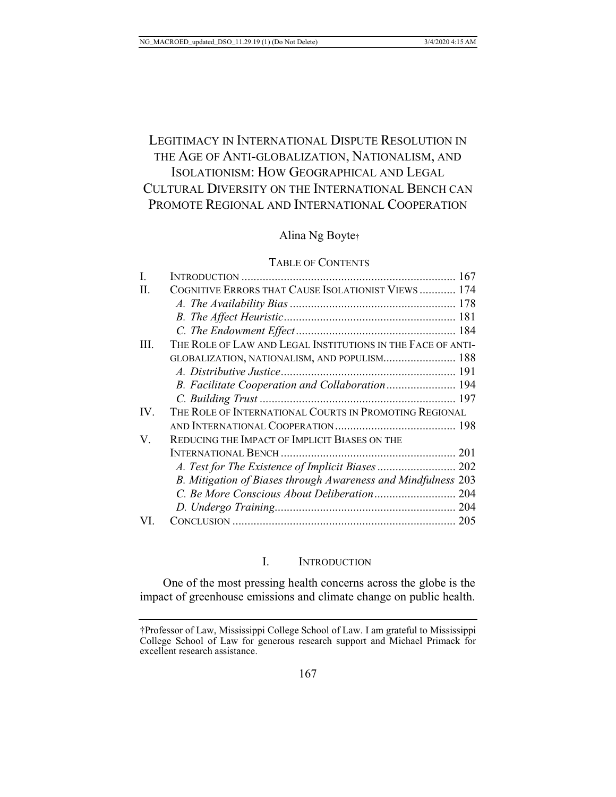# LEGITIMACY IN INTERNATIONAL DISPUTE RESOLUTION IN THE AGE OF ANTI-GLOBALIZATION, NATIONALISM, AND ISOLATIONISM: HOW GEOGRAPHICAL AND LEGAL CULTURAL DIVERSITY ON THE INTERNATIONAL BENCH CAN PROMOTE REGIONAL AND INTERNATIONAL COOPERATION

## Alina Ng Boyte†

## TABLE OF CONTENTS

| Ι.  |                                                               |  |
|-----|---------------------------------------------------------------|--|
| H.  | COGNITIVE ERRORS THAT CAUSE ISOLATIONIST VIEWS  174           |  |
|     |                                                               |  |
|     |                                                               |  |
|     |                                                               |  |
| Ш.  | THE ROLE OF LAW AND LEGAL INSTITUTIONS IN THE FACE OF ANTI-   |  |
|     | GLOBALIZATION, NATIONALISM, AND POPULISM 188                  |  |
|     |                                                               |  |
|     | B. Facilitate Cooperation and Collaboration 194               |  |
|     |                                                               |  |
| IV. | THE ROLE OF INTERNATIONAL COURTS IN PROMOTING REGIONAL        |  |
|     |                                                               |  |
| V.  | REDUCING THE IMPACT OF IMPLICIT BIASES ON THE                 |  |
|     |                                                               |  |
|     | A. Test for The Existence of Implicit Biases  202             |  |
|     | B. Mitigation of Biases through Awareness and Mindfulness 203 |  |
|     |                                                               |  |
|     |                                                               |  |
| VI  |                                                               |  |
|     |                                                               |  |

## I. INTRODUCTION

One of the most pressing health concerns across the globe is the impact of greenhouse emissions and climate change on public health.

<sup>†</sup>Professor of Law, Mississippi College School of Law. I am grateful to Mississippi College School of Law for generous research support and Michael Primack for excellent research assistance.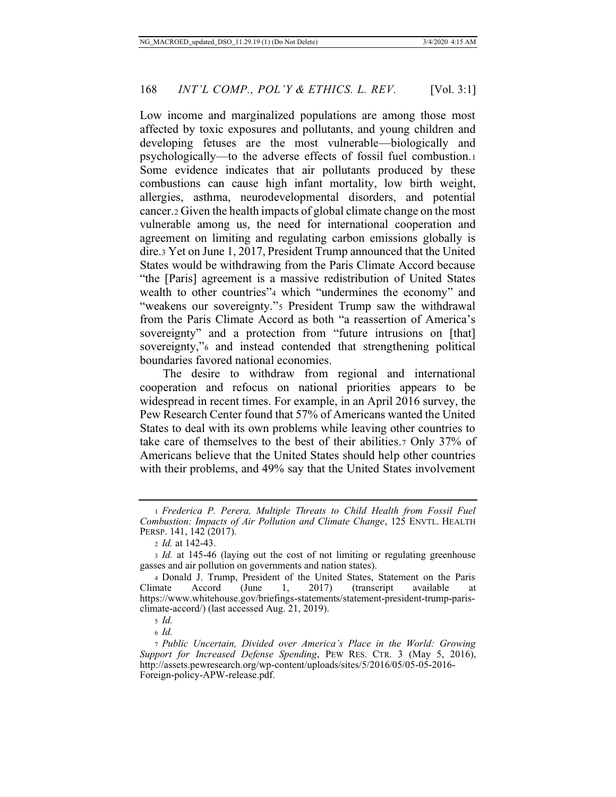Low income and marginalized populations are among those most affected by toxic exposures and pollutants, and young children and developing fetuses are the most vulnerable—biologically and psychologically—to the adverse effects of fossil fuel combustion.1 Some evidence indicates that air pollutants produced by these combustions can cause high infant mortality, low birth weight, allergies, asthma, neurodevelopmental disorders, and potential cancer.2 Given the health impacts of global climate change on the most vulnerable among us, the need for international cooperation and agreement on limiting and regulating carbon emissions globally is dire.3 Yet on June 1, 2017, President Trump announced that the United States would be withdrawing from the Paris Climate Accord because "the [Paris] agreement is a massive redistribution of United States wealth to other countries"4 which "undermines the economy" and "weakens our sovereignty."5 President Trump saw the withdrawal from the Paris Climate Accord as both "a reassertion of America's sovereignty" and a protection from "future intrusions on [that] sovereignty,"<sup>6</sup> and instead contended that strengthening political boundaries favored national economies.

The desire to withdraw from regional and international cooperation and refocus on national priorities appears to be widespread in recent times. For example, in an April 2016 survey, the Pew Research Center found that 57% of Americans wanted the United States to deal with its own problems while leaving other countries to take care of themselves to the best of their abilities.7 Only 37% of Americans believe that the United States should help other countries with their problems, and 49% say that the United States involvement

<sup>6</sup> *Id.*

<sup>1</sup> *Frederica P. Perera, Multiple Threats to Child Health from Fossil Fuel Combustion: Impacts of Air Pollution and Climate Change*, 125 ENVTL. HEALTH PERSP. 141, 142 (2017).

<sup>2</sup> *Id.* at 142-43.

<sup>3</sup> *Id.* at 145-46 (laying out the cost of not limiting or regulating greenhouse gasses and air pollution on governments and nation states).

<sup>4</sup> Donald J. Trump, President of the United States, Statement on the Paris mate Accord (June 1, 2017) (transcript available at Climate Accord (June 1, 2017) (transcript available at https://www.whitehouse.gov/briefings-statements/statement-president-trump-parisclimate-accord/) (last accessed Aug. 21, 2019).

<sup>5</sup> *Id.*

<sup>7</sup> *Public Uncertain, Divided over America's Place in the World: Growing Support for Increased Defense Spending*, PEW RES. CTR. 3 (May 5, 2016), http://assets.pewresearch.org/wp-content/uploads/sites/5/2016/05/05-05-2016- Foreign-policy-APW-release.pdf.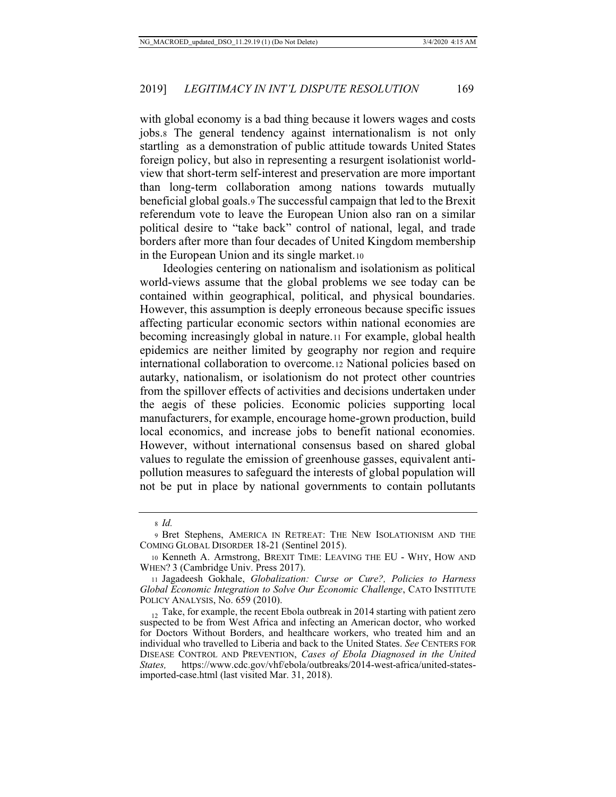with global economy is a bad thing because it lowers wages and costs jobs.8 The general tendency against internationalism is not only startling as a demonstration of public attitude towards United States foreign policy, but also in representing a resurgent isolationist worldview that short-term self-interest and preservation are more important than long-term collaboration among nations towards mutually beneficial global goals.9 The successful campaign that led to the Brexit referendum vote to leave the European Union also ran on a similar political desire to "take back" control of national, legal, and trade borders after more than four decades of United Kingdom membership in the European Union and its single market.10

Ideologies centering on nationalism and isolationism as political world-views assume that the global problems we see today can be contained within geographical, political, and physical boundaries. However, this assumption is deeply erroneous because specific issues affecting particular economic sectors within national economies are becoming increasingly global in nature.11 For example, global health epidemics are neither limited by geography nor region and require international collaboration to overcome.12 National policies based on autarky, nationalism, or isolationism do not protect other countries from the spillover effects of activities and decisions undertaken under the aegis of these policies. Economic policies supporting local manufacturers, for example, encourage home-grown production, build local economics, and increase jobs to benefit national economies. However, without international consensus based on shared global values to regulate the emission of greenhouse gasses, equivalent antipollution measures to safeguard the interests of global population will not be put in place by national governments to contain pollutants

<sup>8</sup> *Id.*

<sup>9</sup> Bret Stephens, AMERICA IN RETREAT: THE NEW ISOLATIONISM AND THE COMING GLOBAL DISORDER 18-21 (Sentinel 2015).

<sup>10</sup> Kenneth A. Armstrong, BREXIT TIME: LEAVING THE EU - WHY, HOW AND WHEN? 3 (Cambridge Univ. Press 2017).

<sup>11</sup> Jagadeesh Gokhale, *Globalization: Curse or Cure?, Policies to Harness Global Economic Integration to Solve Our Economic Challenge*, CATO INSTITUTE POLICY ANALYSIS, No. 659 (2010).

 $12$  Take, for example, the recent Ebola outbreak in 2014 starting with patient zero suspected to be from West Africa and infecting an American doctor, who worked for Doctors Without Borders, and healthcare workers, who treated him and an individual who travelled to Liberia and back to the United States. *See* CENTERS FOR DISEASE CONTROL AND PREVENTION, *Cases of Ebola Diagnosed in the United States,* https://www.cdc.gov/vhf/ebola/outbreaks/2014-west-africa/united-statesimported-case.html (last visited Mar. 31, 2018).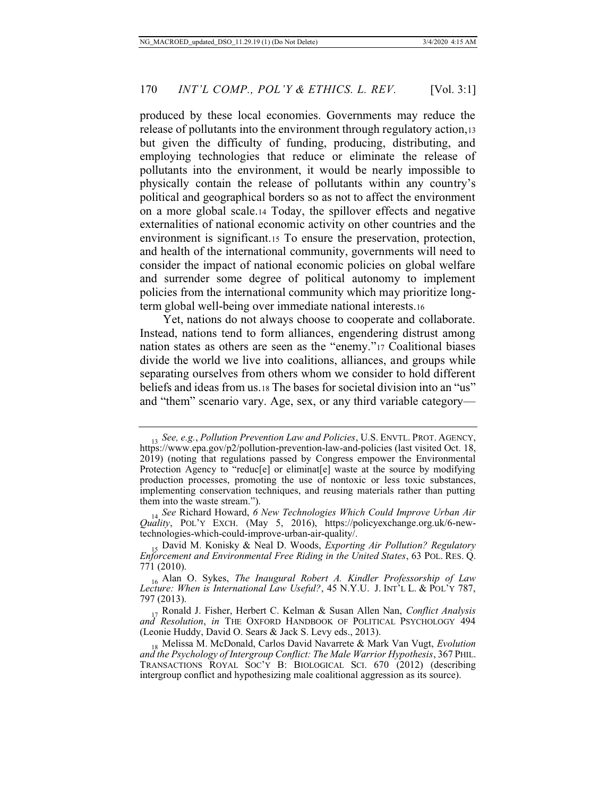produced by these local economies. Governments may reduce the release of pollutants into the environment through regulatory action,13 but given the difficulty of funding, producing, distributing, and employing technologies that reduce or eliminate the release of pollutants into the environment, it would be nearly impossible to physically contain the release of pollutants within any country's political and geographical borders so as not to affect the environment on a more global scale.14 Today, the spillover effects and negative externalities of national economic activity on other countries and the environment is significant.15 To ensure the preservation, protection, and health of the international community, governments will need to consider the impact of national economic policies on global welfare and surrender some degree of political autonomy to implement policies from the international community which may prioritize longterm global well-being over immediate national interests.16

Yet, nations do not always choose to cooperate and collaborate. Instead, nations tend to form alliances, engendering distrust among nation states as others are seen as the "enemy."17 Coalitional biases divide the world we live into coalitions, alliances, and groups while separating ourselves from others whom we consider to hold different beliefs and ideas from us.18 The bases for societal division into an "us" and "them" scenario vary. Age, sex, or any third variable category—

<sup>13</sup> *See, e.g.*, *Pollution Prevention Law and Policies*, U.S. ENVTL. PROT. AGENCY, https://www.epa.gov/p2/pollution-prevention-law-and-policies (last visited Oct. 18, 2019) (noting that regulations passed by Congress empower the Environmental Protection Agency to "reduc[e] or eliminat[e] waste at the source by modifying production processes, promoting the use of nontoxic or less toxic substances, implementing conservation techniques, and reusing materials rather than putting them into the waste stream.").

<sup>14</sup> *See* Richard Howard, *6 New Technologies Which Could Improve Urban Air Quality*, POL'Y EXCH. (May 5, 2016), https://policyexchange.org.uk/6-newtechnologies-which-could-improve-urban-air-quality/.

<sup>15</sup> David M. Konisky & Neal D. Woods, *Exporting Air Pollution? Regulatory Enforcement and Environmental Free Riding in the United States*, 63 POL. RES. Q. 771 (2010).

<sup>16</sup> Alan O. Sykes, *The Inaugural Robert A. Kindler Professorship of Law Lecture: When is International Law Useful?*, 45 N.Y.U. J. INT'L L. & POL'Y 787, 797 (2013).

<sup>17</sup> Ronald J. Fisher, Herbert C. Kelman & Susan Allen Nan, *Conflict Analysis and Resolution*, *in* THE OXFORD HANDBOOK OF POLITICAL PSYCHOLOGY 494 (Leonie Huddy, David O. Sears & Jack S. Levy eds., 2013).

<sup>18</sup> Melissa M. McDonald, Carlos David Navarrete & Mark Van Vugt, *Evolution and the Psychology of Intergroup Conflict: The Male Warrior Hypothesis*, 367 PHIL. TRANSACTIONS ROYAL SOC'Y B: BIOLOGICAL SCI. 670 (2012) (describing intergroup conflict and hypothesizing male coalitional aggression as its source).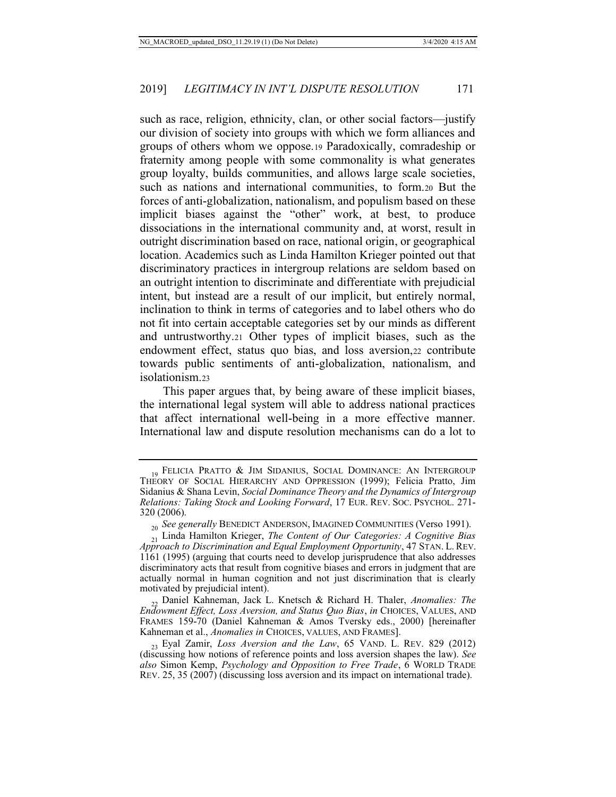such as race, religion, ethnicity, clan, or other social factors—justify our division of society into groups with which we form alliances and groups of others whom we oppose.19 Paradoxically, comradeship or fraternity among people with some commonality is what generates group loyalty, builds communities, and allows large scale societies, such as nations and international communities, to form.20 But the forces of anti-globalization, nationalism, and populism based on these implicit biases against the "other" work, at best, to produce dissociations in the international community and, at worst, result in outright discrimination based on race, national origin, or geographical location. Academics such as Linda Hamilton Krieger pointed out that discriminatory practices in intergroup relations are seldom based on an outright intention to discriminate and differentiate with prejudicial intent, but instead are a result of our implicit, but entirely normal, inclination to think in terms of categories and to label others who do not fit into certain acceptable categories set by our minds as different and untrustworthy.21 Other types of implicit biases, such as the endowment effect, status quo bias, and loss aversion,22 contribute towards public sentiments of anti-globalization, nationalism, and isolationism.23

This paper argues that, by being aware of these implicit biases, the international legal system will able to address national practices that affect international well-being in a more effective manner. International law and dispute resolution mechanisms can do a lot to

<sup>19</sup> FELICIA PRATTO & JIM SIDANIUS, SOCIAL DOMINANCE: AN INTERGROUP THEORY OF SOCIAL HIERARCHY AND OPPRESSION (1999); Felicia Pratto, Jim Sidanius & Shana Levin, *Social Dominance Theory and the Dynamics of Intergroup Relations: Taking Stock and Looking Forward*, 17 EUR. REV. SOC. PSYCHOL. 271- 320 (2006).

<sup>&</sup>lt;sup>20</sup> See generally BENEDICT ANDERSON, IMAGINED COMMUNITIES (Verso 1991).

<sup>21</sup> Linda Hamilton Krieger, *The Content of Our Categories: A Cognitive Bias Approach to Discrimination and Equal Employment Opportunity*, 47 STAN. L. REV. 1161 (1995) (arguing that courts need to develop jurisprudence that also addresses discriminatory acts that result from cognitive biases and errors in judgment that are actually normal in human cognition and not just discrimination that is clearly motivated by prejudicial intent).

<sup>22</sup> Daniel Kahneman, Jack L. Knetsch & Richard H. Thaler, *Anomalies: The Endowment Effect, Loss Aversion, and Status Quo Bias*, *in* CHOICES, VALUES, AND FRAMES 159-70 (Daniel Kahneman & Amos Tversky eds., 2000) [hereinafter Kahneman et al., *Anomalies in* CHOICES, VALUES, AND FRAMES].

<sup>23</sup> Eyal Zamir, *Loss Aversion and the Law*, 65 VAND. L. REV. 829 (2012) (discussing how notions of reference points and loss aversion shapes the law). *See also* Simon Kemp, *Psychology and Opposition to Free Trade*, 6 WORLD TRADE REV. 25, 35 (2007) (discussing loss aversion and its impact on international trade).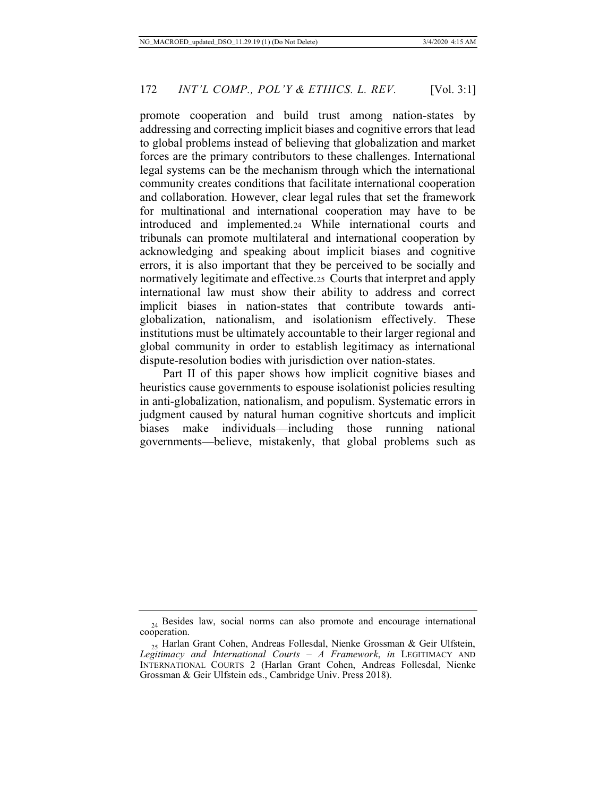promote cooperation and build trust among nation-states by addressing and correcting implicit biases and cognitive errors that lead to global problems instead of believing that globalization and market forces are the primary contributors to these challenges. International legal systems can be the mechanism through which the international community creates conditions that facilitate international cooperation and collaboration. However, clear legal rules that set the framework for multinational and international cooperation may have to be introduced and implemented.24 While international courts and tribunals can promote multilateral and international cooperation by acknowledging and speaking about implicit biases and cognitive errors, it is also important that they be perceived to be socially and normatively legitimate and effective.25 Courts that interpret and apply international law must show their ability to address and correct implicit biases in nation-states that contribute towards antiglobalization, nationalism, and isolationism effectively. These institutions must be ultimately accountable to their larger regional and global community in order to establish legitimacy as international dispute-resolution bodies with jurisdiction over nation-states.

Part II of this paper shows how implicit cognitive biases and heuristics cause governments to espouse isolationist policies resulting in anti-globalization, nationalism, and populism. Systematic errors in judgment caused by natural human cognitive shortcuts and implicit biases make individuals—including those running national governments—believe, mistakenly, that global problems such as

 $_{24}$  Besides law, social norms can also promote and encourage international cooperation.

<sup>25</sup> Harlan Grant Cohen, Andreas Follesdal, Nienke Grossman & Geir Ulfstein, *Legitimacy and International Courts – A Framework*, *in* LEGITIMACY AND INTERNATIONAL COURTS 2 (Harlan Grant Cohen, Andreas Follesdal, Nienke Grossman & Geir Ulfstein eds., Cambridge Univ. Press 2018).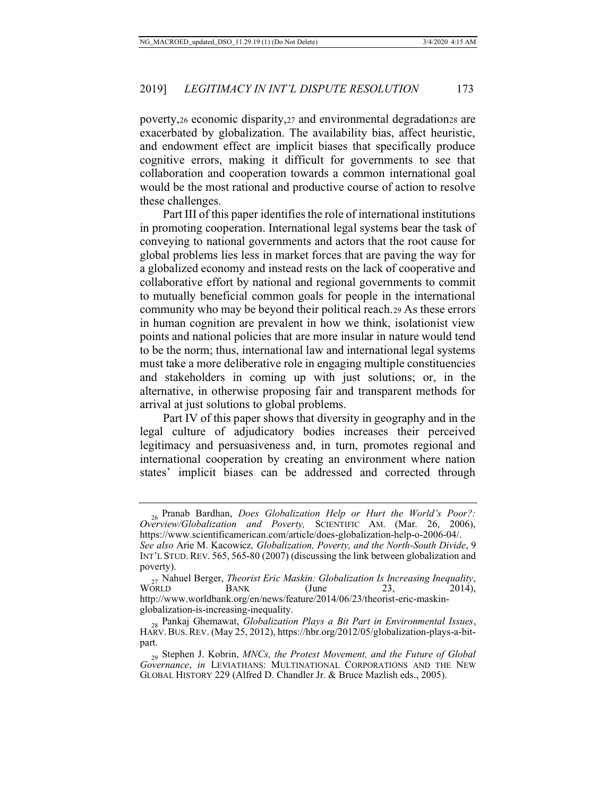poverty,26 economic disparity,27 and environmental degradation28 are exacerbated by globalization. The availability bias, affect heuristic, and endowment effect are implicit biases that specifically produce cognitive errors, making it difficult for governments to see that collaboration and cooperation towards a common international goal would be the most rational and productive course of action to resolve these challenges.

Part III of this paper identifies the role of international institutions in promoting cooperation. International legal systems bear the task of conveying to national governments and actors that the root cause for global problems lies less in market forces that are paving the way for a globalized economy and instead rests on the lack of cooperative and collaborative effort by national and regional governments to commit to mutually beneficial common goals for people in the international community who may be beyond their political reach.29 As these errors in human cognition are prevalent in how we think, isolationist view points and national policies that are more insular in nature would tend to be the norm; thus, international law and international legal systems must take a more deliberative role in engaging multiple constituencies and stakeholders in coming up with just solutions; or, in the alternative, in otherwise proposing fair and transparent methods for arrival at just solutions to global problems.

Part IV of this paper shows that diversity in geography and in the legal culture of adjudicatory bodies increases their perceived legitimacy and persuasiveness and, in turn, promotes regional and international cooperation by creating an environment where nation states' implicit biases can be addressed and corrected through

<sup>26</sup> Pranab Bardhan, *Does Globalization Help or Hurt the World's Poor?: Overview/Globalization and Poverty,* SCIENTIFIC AM. (Mar. 26, 2006), https://www.scientificamerican.com/article/does-globalization-help-o-2006-04/.

*See also* Arie M. Kacowicz*, Globalization, Poverty, and the North-South Divide*, 9 INT'L STUD. REV. 565, 565-80 (2007) (discussing the link between globalization and poverty).

<sup>&</sup>lt;sup>27</sup> Nahuel Berger, *Theorist Eric Maskin: Globalization Is Increasing Inequality*,<br>WORLD BANK (June 23, <sup>2014</sup>), WORLD BANK (June 23, 2014), http://www.worldbank.org/en/news/feature/2014/06/23/theorist-eric-maskinglobalization-is-increasing-inequality.

<sup>28</sup> Pankaj Ghemawat, *Globalization Plays a Bit Part in Environmental Issues*, HARV.BUS.REV. (May 25, 2012), https://hbr.org/2012/05/globalization-plays-a-bitpart.

<sup>29</sup> Stephen J. Kobrin, *MNCs, the Protest Movement, and the Future of Global Governance*, *in* LEVIATHANS: MULTINATIONAL CORPORATIONS AND THE NEW GLOBAL HISTORY 229 (Alfred D. Chandler Jr. & Bruce Mazlish eds., 2005).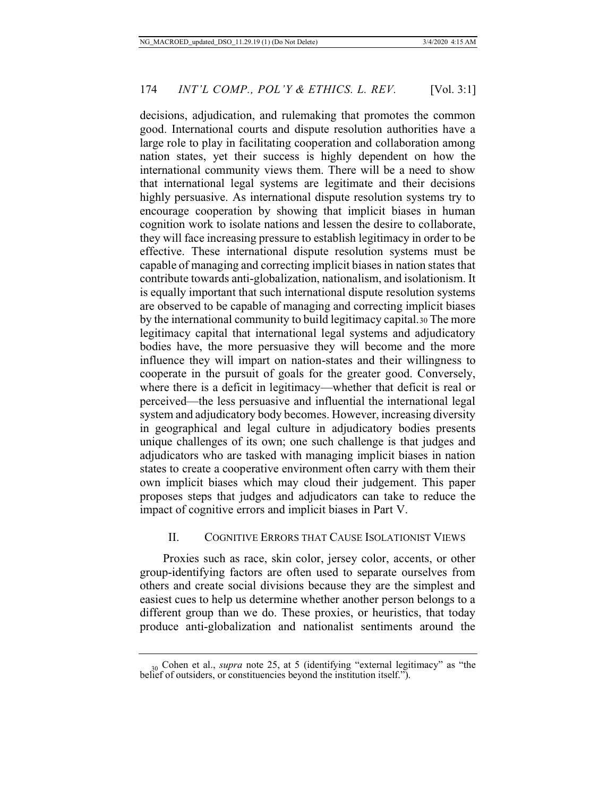decisions, adjudication, and rulemaking that promotes the common good. International courts and dispute resolution authorities have a large role to play in facilitating cooperation and collaboration among nation states, yet their success is highly dependent on how the international community views them. There will be a need to show that international legal systems are legitimate and their decisions highly persuasive. As international dispute resolution systems try to encourage cooperation by showing that implicit biases in human cognition work to isolate nations and lessen the desire to collaborate, they will face increasing pressure to establish legitimacy in order to be effective. These international dispute resolution systems must be capable of managing and correcting implicit biases in nation states that contribute towards anti-globalization, nationalism, and isolationism. It is equally important that such international dispute resolution systems are observed to be capable of managing and correcting implicit biases by the international community to build legitimacy capital.30 The more legitimacy capital that international legal systems and adjudicatory bodies have, the more persuasive they will become and the more influence they will impart on nation-states and their willingness to cooperate in the pursuit of goals for the greater good. Conversely, where there is a deficit in legitimacy—whether that deficit is real or perceived—the less persuasive and influential the international legal system and adjudicatory body becomes. However, increasing diversity in geographical and legal culture in adjudicatory bodies presents unique challenges of its own; one such challenge is that judges and adjudicators who are tasked with managing implicit biases in nation states to create a cooperative environment often carry with them their own implicit biases which may cloud their judgement. This paper proposes steps that judges and adjudicators can take to reduce the impact of cognitive errors and implicit biases in Part V.

## II. COGNITIVE ERRORS THAT CAUSE ISOLATIONIST VIEWS

Proxies such as race, skin color, jersey color, accents, or other group-identifying factors are often used to separate ourselves from others and create social divisions because they are the simplest and easiest cues to help us determine whether another person belongs to a different group than we do. These proxies, or heuristics, that today produce anti-globalization and nationalist sentiments around the

<sup>30</sup> Cohen et al., *supra* note 25, at 5 (identifying "external legitimacy" as "the belief of outsiders, or constituencies beyond the institution itself.").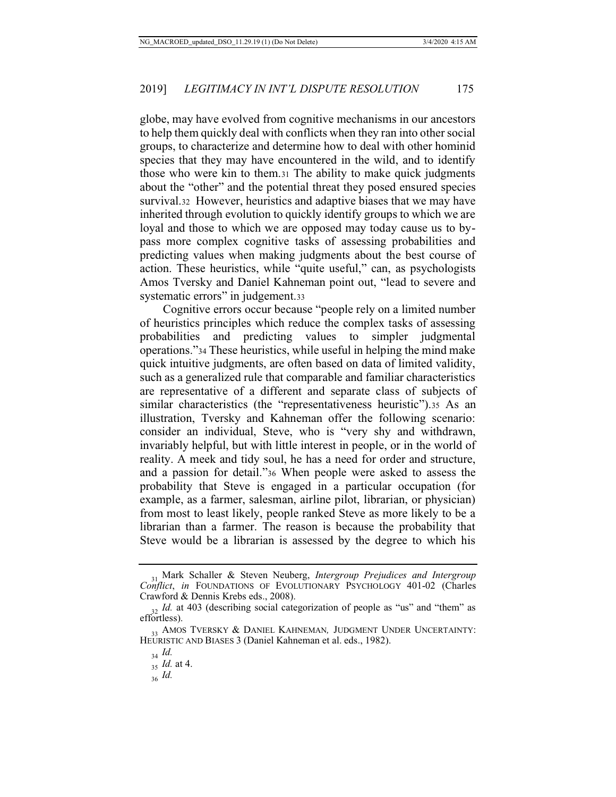globe, may have evolved from cognitive mechanisms in our ancestors to help them quickly deal with conflicts when they ran into other social groups, to characterize and determine how to deal with other hominid species that they may have encountered in the wild, and to identify those who were kin to them.31 The ability to make quick judgments about the "other" and the potential threat they posed ensured species survival.32 However, heuristics and adaptive biases that we may have inherited through evolution to quickly identify groups to which we are loyal and those to which we are opposed may today cause us to bypass more complex cognitive tasks of assessing probabilities and predicting values when making judgments about the best course of action. These heuristics, while "quite useful," can, as psychologists Amos Tversky and Daniel Kahneman point out, "lead to severe and systematic errors" in judgement.33

Cognitive errors occur because "people rely on a limited number of heuristics principles which reduce the complex tasks of assessing probabilities and predicting values to simpler judgmental operations."34 These heuristics, while useful in helping the mind make quick intuitive judgments, are often based on data of limited validity, such as a generalized rule that comparable and familiar characteristics are representative of a different and separate class of subjects of similar characteristics (the "representativeness heuristic").35 As an illustration, Tversky and Kahneman offer the following scenario: consider an individual, Steve, who is "very shy and withdrawn, invariably helpful, but with little interest in people, or in the world of reality. A meek and tidy soul, he has a need for order and structure, and a passion for detail."36 When people were asked to assess the probability that Steve is engaged in a particular occupation (for example, as a farmer, salesman, airline pilot, librarian, or physician) from most to least likely, people ranked Steve as more likely to be a librarian than a farmer. The reason is because the probability that Steve would be a librarian is assessed by the degree to which his

<sup>31</sup> Mark Schaller & Steven Neuberg, *Intergroup Prejudices and Intergroup Conflict*, *in* FOUNDATIONS OF EVOLUTIONARY PSYCHOLOGY 401-02 (Charles Crawford & Dennis Krebs eds., 2008).

<sup>&</sup>lt;sub>32</sub> Id. at 403 (describing social categorization of people as "us" and "them" as effortless).

<sup>&</sup>lt;sup>33</sup> AMOS TVERSKY & DANIEL KAHNEMAN, JUDGMENT UNDER UNCERTAINTY: HEURISTIC AND BIASES 3 (Daniel Kahneman et al. eds., 1982).

<sup>34</sup> *Id.*

<sup>35</sup> *Id.* at 4.

<sup>36</sup> *Id.*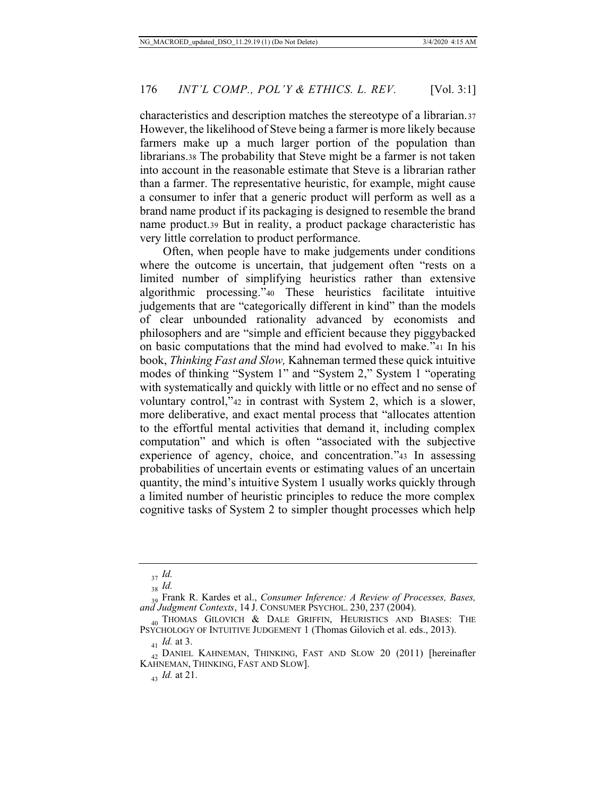characteristics and description matches the stereotype of a librarian.37 However, the likelihood of Steve being a farmer is more likely because farmers make up a much larger portion of the population than librarians.38 The probability that Steve might be a farmer is not taken into account in the reasonable estimate that Steve is a librarian rather than a farmer. The representative heuristic, for example, might cause a consumer to infer that a generic product will perform as well as a brand name product if its packaging is designed to resemble the brand name product.39 But in reality, a product package characteristic has very little correlation to product performance.

Often, when people have to make judgements under conditions where the outcome is uncertain, that judgement often "rests on a limited number of simplifying heuristics rather than extensive algorithmic processing."40 These heuristics facilitate intuitive judgements that are "categorically different in kind" than the models of clear unbounded rationality advanced by economists and philosophers and are "simple and efficient because they piggybacked on basic computations that the mind had evolved to make."41 In his book, *Thinking Fast and Slow,* Kahneman termed these quick intuitive modes of thinking "System 1" and "System 2," System 1 "operating with systematically and quickly with little or no effect and no sense of voluntary control,"42 in contrast with System 2, which is a slower, more deliberative, and exact mental process that "allocates attention to the effortful mental activities that demand it, including complex computation" and which is often "associated with the subjective experience of agency, choice, and concentration."43 In assessing probabilities of uncertain events or estimating values of an uncertain quantity, the mind's intuitive System 1 usually works quickly through a limited number of heuristic principles to reduce the more complex cognitive tasks of System 2 to simpler thought processes which help

<sup>37</sup> *Id.*

<sup>38</sup> *Id.*

<sup>39</sup> Frank R. Kardes et al., *Consumer Inference: A Review of Processes, Bases, and Judgment Contexts*, 14 J. CONSUMER PSYCHOL. 230, 237 (2004).

 $_{40}$  Thomas Gilovich & Dale Griffin, Heuristics and Biases: The PSYCHOLOGY OF INTUITIVE JUDGEMENT 1 (Thomas Gilovich et al. eds., 2013).

<sup>41</sup> *Id.* at 3.

<sup>&</sup>lt;sub>42</sub> DANIEL KAHNEMAN, THINKING, FAST AND SLOW 20 (2011) [hereinafter KAHNEMAN, THINKING, FAST AND SLOW].

<sup>43</sup> *Id.* at 21.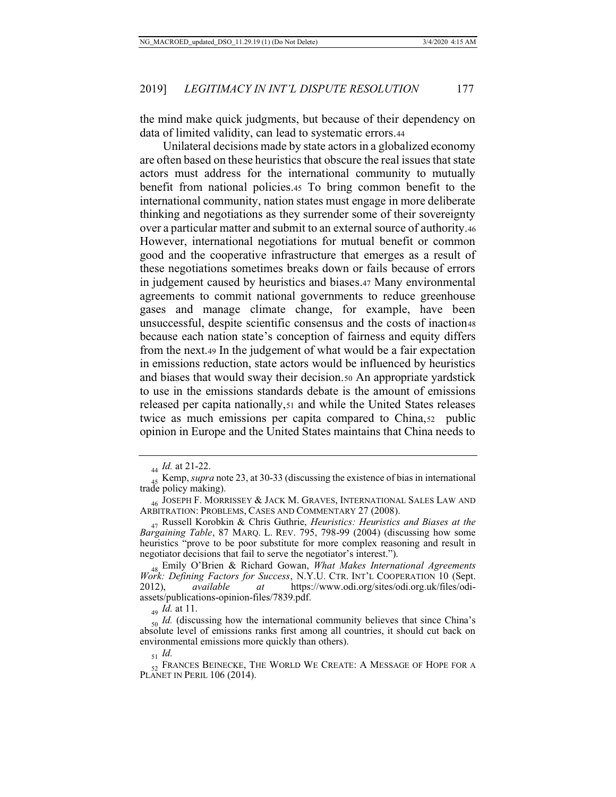the mind make quick judgments, but because of their dependency on data of limited validity, can lead to systematic errors.44

Unilateral decisions made by state actors in a globalized economy are often based on these heuristics that obscure the real issues that state actors must address for the international community to mutually benefit from national policies.45 To bring common benefit to the international community, nation states must engage in more deliberate thinking and negotiations as they surrender some of their sovereignty over a particular matter and submit to an external source of authority.46 However, international negotiations for mutual benefit or common good and the cooperative infrastructure that emerges as a result of these negotiations sometimes breaks down or fails because of errors in judgement caused by heuristics and biases.47 Many environmental agreements to commit national governments to reduce greenhouse gases and manage climate change, for example, have been unsuccessful, despite scientific consensus and the costs of inaction<sub>48</sub> because each nation state's conception of fairness and equity differs from the next.49 In the judgement of what would be a fair expectation in emissions reduction, state actors would be influenced by heuristics and biases that would sway their decision.50 An appropriate yardstick to use in the emissions standards debate is the amount of emissions released per capita nationally,51 and while the United States releases twice as much emissions per capita compared to China,52 public opinion in Europe and the United States maintains that China needs to

<sup>44</sup> *Id.* at 21-22.

<sup>45</sup> Kemp, *supra* note 23, at 30-33 (discussing the existence of bias in international trade policy making).

 $_{46}$  Joseph F. Morrissey & Jack M. Graves, International Sales Law and ARBITRATION: PROBLEMS, CASES AND COMMENTARY 27 (2008).

<sup>47</sup> Russell Korobkin & Chris Guthrie, *Heuristics: Heuristics and Biases at the Bargaining Table*, 87 MARQ. L. REV. 795, 798-99 (2004) (discussing how some heuristics "prove to be poor substitute for more complex reasoning and result in negotiator decisions that fail to serve the negotiator's interest.").

<sup>48</sup> Emily O'Brien & Richard Gowan, *What Makes International Agreements Work: Defining Factors for Success*, N.Y.U. CTR. INT'L COOPERATION 10 (Sept. 2012), *available at* https://www.odi.org/sites/odi.org.uk/files/odiassets/publications-opinion-files/7839.pdf.

<sup>49</sup> *Id.* at 11.

<sup>50</sup> *Id.* (discussing how the international community believes that since China's absolute level of emissions ranks first among all countries, it should cut back on environmental emissions more quickly than others).

<sup>51</sup> *Id.*

<sup>52</sup> FRANCES BEINECKE, THE WORLD WE CREATE: A MESSAGE OF HOPE FOR A PLANET IN PERIL 106 (2014).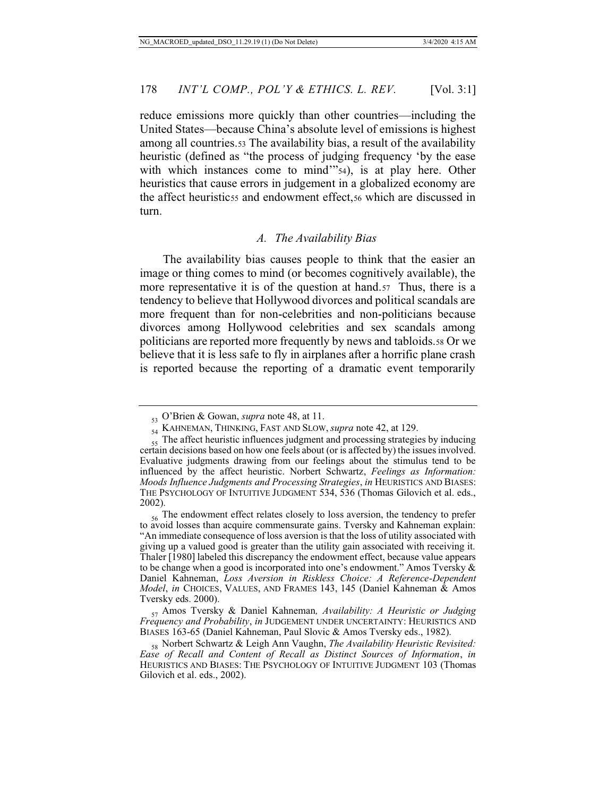reduce emissions more quickly than other countries—including the United States—because China's absolute level of emissions is highest among all countries.53 The availability bias, a result of the availability heuristic (defined as "the process of judging frequency 'by the ease with which instances come to mind" 54), is at play here. Other heuristics that cause errors in judgement in a globalized economy are the affect heuristicss and endowment effect, so which are discussed in turn.

#### *A. The Availability Bias*

The availability bias causes people to think that the easier an image or thing comes to mind (or becomes cognitively available), the more representative it is of the question at hand.57 Thus, there is a tendency to believe that Hollywood divorces and political scandals are more frequent than for non-celebrities and non-politicians because divorces among Hollywood celebrities and sex scandals among politicians are reported more frequently by news and tabloids.58 Or we believe that it is less safe to fly in airplanes after a horrific plane crash is reported because the reporting of a dramatic event temporarily

<sup>53</sup> O'Brien & Gowan, *supra* note 48, at 11.

<sup>54</sup> KAHNEMAN, THINKING, FAST AND SLOW, *supra* note 42, at 129.

 $55$  The affect heuristic influences judgment and processing strategies by inducing certain decisions based on how one feels about (or is affected by) the issues involved. Evaluative judgments drawing from our feelings about the stimulus tend to be influenced by the affect heuristic. Norbert Schwartz, *Feelings as Information: Moods Influence Judgments and Processing Strategies*, *in* HEURISTICS AND BIASES: THE PSYCHOLOGY OF INTUITIVE JUDGMENT 534, 536 (Thomas Gilovich et al. eds., 2002).

 $_{56}$  The endowment effect relates closely to loss aversion, the tendency to prefer to avoid losses than acquire commensurate gains. Tversky and Kahneman explain: "An immediate consequence of loss aversion is that the loss of utility associated with giving up a valued good is greater than the utility gain associated with receiving it. Thaler [1980] labeled this discrepancy the endowment effect, because value appears to be change when a good is incorporated into one's endowment." Amos Tversky & Daniel Kahneman, *Loss Aversion in Riskless Choice: A Reference-Dependent Model*, *in* CHOICES, VALUES, AND FRAMES 143, 145 (Daniel Kahneman & Amos Tversky eds. 2000).

<sup>57</sup> Amos Tversky & Daniel Kahneman*, Availability: A Heuristic or Judging Frequency and Probability*, *in* JUDGEMENT UNDER UNCERTAINTY: HEURISTICS AND BIASES 163-65 (Daniel Kahneman, Paul Slovic & Amos Tversky eds., 1982).

<sup>58</sup> Norbert Schwartz & Leigh Ann Vaughn, *The Availability Heuristic Revisited: Ease of Recall and Content of Recall as Distinct Sources of Information*, *in*  HEURISTICS AND BIASES: THE PSYCHOLOGY OF INTUITIVE JUDGMENT 103 (Thomas Gilovich et al. eds., 2002).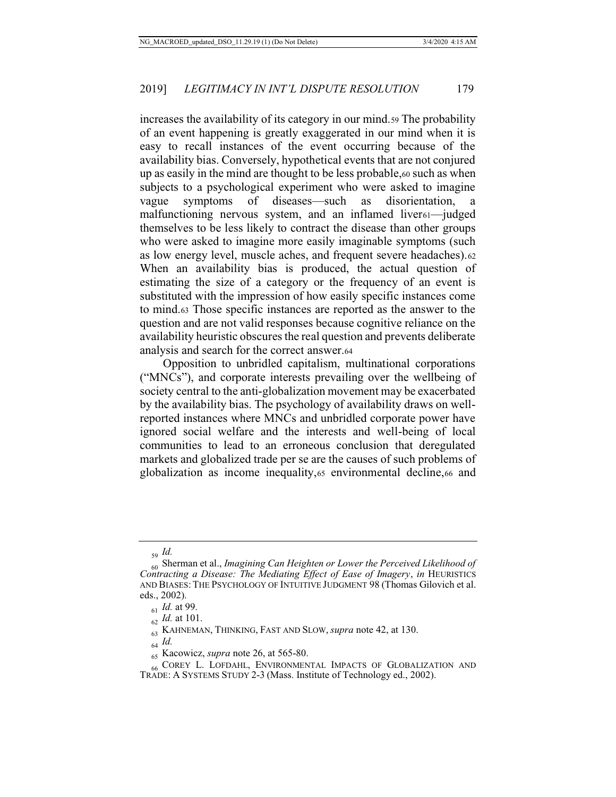increases the availability of its category in our mind.59 The probability of an event happening is greatly exaggerated in our mind when it is easy to recall instances of the event occurring because of the availability bias. Conversely, hypothetical events that are not conjured up as easily in the mind are thought to be less probable,60 such as when subjects to a psychological experiment who were asked to imagine vague symptoms of diseases—such as disorientation, malfunctioning nervous system, and an inflamed liver<sub>61</sub>—judged themselves to be less likely to contract the disease than other groups who were asked to imagine more easily imaginable symptoms (such as low energy level, muscle aches, and frequent severe headaches).62 When an availability bias is produced, the actual question of estimating the size of a category or the frequency of an event is substituted with the impression of how easily specific instances come to mind.63 Those specific instances are reported as the answer to the question and are not valid responses because cognitive reliance on the availability heuristic obscures the real question and prevents deliberate analysis and search for the correct answer.64

Opposition to unbridled capitalism, multinational corporations ("MNCs"), and corporate interests prevailing over the wellbeing of society central to the anti-globalization movement may be exacerbated by the availability bias. The psychology of availability draws on wellreported instances where MNCs and unbridled corporate power have ignored social welfare and the interests and well-being of local communities to lead to an erroneous conclusion that deregulated markets and globalized trade per se are the causes of such problems of globalization as income inequality,65 environmental decline,66 and

<sup>59</sup> *Id.*

<sup>60</sup> Sherman et al., *Imagining Can Heighten or Lower the Perceived Likelihood of Contracting a Disease: The Mediating Effect of Ease of Imagery*, *in* HEURISTICS AND BIASES:THE PSYCHOLOGY OF INTUITIVE JUDGMENT 98 (Thomas Gilovich et al. eds., 2002).

<sup>61</sup> *Id.* at 99.

<sup>62</sup> *Id.* at 101.

<sup>63</sup> KAHNEMAN, THINKING, FAST AND SLOW, *supra* note 42, at 130.

<sup>64</sup> *Id.*

<sup>65</sup> Kacowicz, *supra* note 26, at 565-80.

<sup>&</sup>lt;sub>66</sub> COREY L. LOFDAHL, ENVIRONMENTAL IMPACTS OF GLOBALIZATION AND TRADE: A SYSTEMS STUDY 2-3 (Mass. Institute of Technology ed., 2002).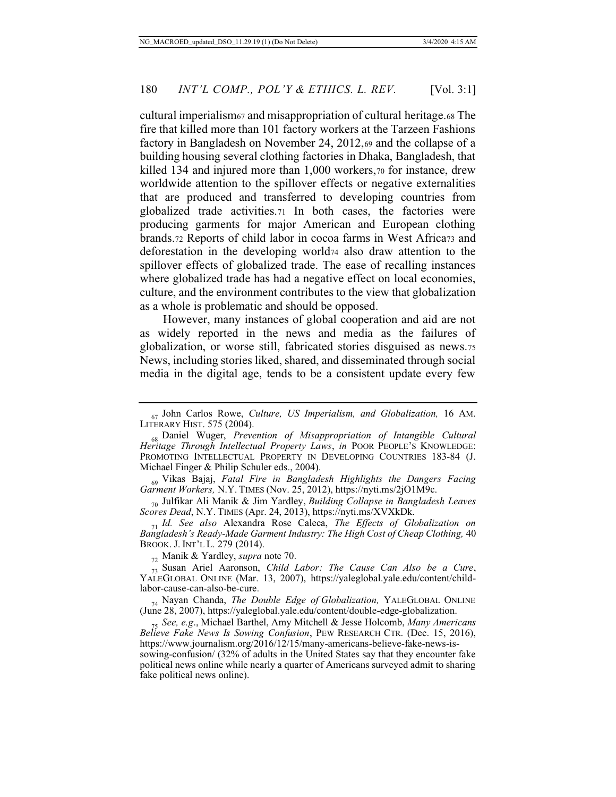cultural imperialism67 and misappropriation of cultural heritage.68 The fire that killed more than 101 factory workers at the Tarzeen Fashions factory in Bangladesh on November 24, 2012,69 and the collapse of a building housing several clothing factories in Dhaka, Bangladesh, that killed 134 and injured more than 1,000 workers,70 for instance, drew worldwide attention to the spillover effects or negative externalities that are produced and transferred to developing countries from globalized trade activities.71 In both cases, the factories were producing garments for major American and European clothing brands.72 Reports of child labor in cocoa farms in West Africa73 and deforestation in the developing world74 also draw attention to the spillover effects of globalized trade. The ease of recalling instances where globalized trade has had a negative effect on local economies, culture, and the environment contributes to the view that globalization as a whole is problematic and should be opposed.

However, many instances of global cooperation and aid are not as widely reported in the news and media as the failures of globalization, or worse still, fabricated stories disguised as news.75 News, including stories liked, shared, and disseminated through social media in the digital age, tends to be a consistent update every few

<sup>70</sup> Julfikar Ali Manik & Jim Yardley, *Building Collapse in Bangladesh Leaves Scores Dead*, N.Y. TIMES (Apr. 24, 2013), https://nyti.ms/XVXkDk.

<sup>71</sup> *Id. See also* Alexandra Rose Caleca, *The Effects of Globalization on Bangladesh's Ready-Made Garment Industry: The High Cost of Cheap Clothing,* 40 BROOK. J. INT'L L. 279 (2014).

<sup>72</sup> Manik & Yardley, *supra* note 70.

<sup>73</sup> Susan Ariel Aaronson, *Child Labor: The Cause Can Also be a Cure*, YALEGLOBAL ONLINE (Mar. 13, 2007), https://yaleglobal.yale.edu/content/childlabor-cause-can-also-be-cure.

<sup>74</sup> Nayan Chanda, *The Double Edge of Globalization,* YALEGLOBAL ONLINE (June 28, 2007), https://yaleglobal.yale.edu/content/double-edge-globalization.

<sup>75</sup> *See, e.g*., Michael Barthel, Amy Mitchell & Jesse Holcomb, *Many Americans Believe Fake News Is Sowing Confusion*, PEW RESEARCH CTR. (Dec. 15, 2016), https://www.journalism.org/2016/12/15/many-americans-believe-fake-news-is-

sowing-confusion/ (32% of adults in the United States say that they encounter fake political news online while nearly a quarter of Americans surveyed admit to sharing fake political news online).

<sup>67</sup> John Carlos Rowe, *Culture, US Imperialism, and Globalization,* 16 AM. LITERARY HIST. 575 (2004).

<sup>68</sup> Daniel Wuger, *Prevention of Misappropriation of Intangible Cultural Heritage Through Intellectual Property Laws*, *in* POOR PEOPLE'S KNOWLEDGE: PROMOTING INTELLECTUAL PROPERTY IN DEVELOPING COUNTRIES 183-84 (J. Michael Finger & Philip Schuler eds., 2004).

<sup>69</sup> Vikas Bajaj, *Fatal Fire in Bangladesh Highlights the Dangers Facing Garment Workers,* N.Y. TIMES (Nov. 25, 2012), https://nyti.ms/2jO1M9c.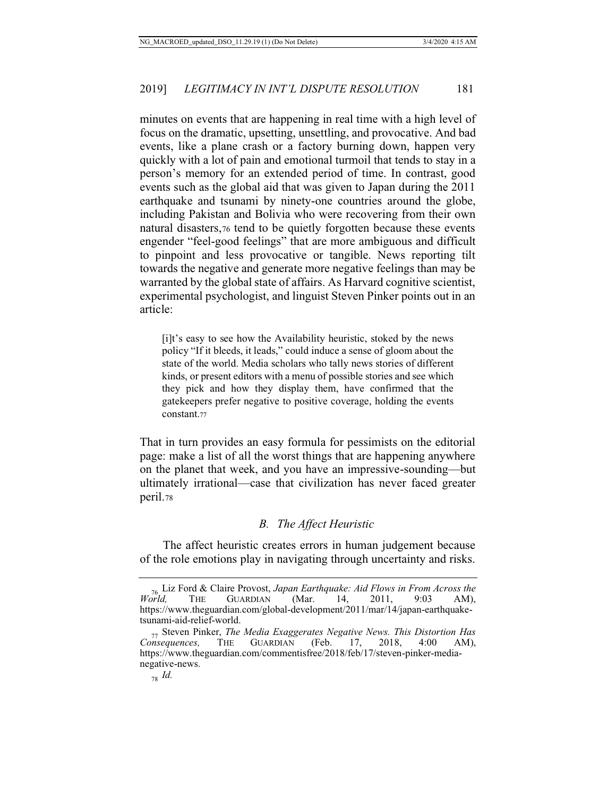minutes on events that are happening in real time with a high level of focus on the dramatic, upsetting, unsettling, and provocative. And bad events, like a plane crash or a factory burning down, happen very quickly with a lot of pain and emotional turmoil that tends to stay in a person's memory for an extended period of time. In contrast, good events such as the global aid that was given to Japan during the 2011 earthquake and tsunami by ninety-one countries around the globe, including Pakistan and Bolivia who were recovering from their own natural disasters,76 tend to be quietly forgotten because these events engender "feel-good feelings" that are more ambiguous and difficult to pinpoint and less provocative or tangible. News reporting tilt towards the negative and generate more negative feelings than may be warranted by the global state of affairs. As Harvard cognitive scientist, experimental psychologist, and linguist Steven Pinker points out in an article:

[i]t's easy to see how the Availability heuristic, stoked by the news policy "If it bleeds, it leads," could induce a sense of gloom about the state of the world. Media scholars who tally news stories of different kinds, or present editors with a menu of possible stories and see which they pick and how they display them, have confirmed that the gatekeepers prefer negative to positive coverage, holding the events constant.77

That in turn provides an easy formula for pessimists on the editorial page: make a list of all the worst things that are happening anywhere on the planet that week, and you have an impressive-sounding—but ultimately irrational—case that civilization has never faced greater peril.78

#### *B. The Affect Heuristic*

The affect heuristic creates errors in human judgement because of the role emotions play in navigating through uncertainty and risks.

<sup>76</sup> Liz Ford & Claire Provost, *Japan Earthquake: Aid Flows in From Across the World,* THE GUARDIAN (Mar. 14, 2011, 9:03 AM), https://www.theguardian.com/global-development/2011/mar/14/japan-earthquaketsunami-aid-relief-world.

<sup>77</sup> Steven Pinker, *The Media Exaggerates Negative News. This Distortion Has Consequences,* https://www.theguardian.com/commentisfree/2018/feb/17/steven-pinker-medianegative-news.

<sup>78</sup> *Id.*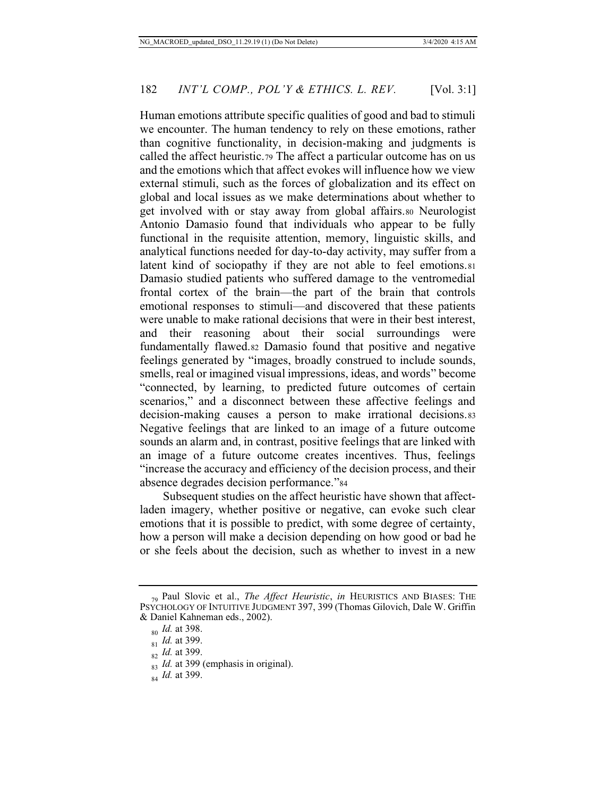Human emotions attribute specific qualities of good and bad to stimuli we encounter. The human tendency to rely on these emotions, rather than cognitive functionality, in decision-making and judgments is called the affect heuristic.79 The affect a particular outcome has on us and the emotions which that affect evokes will influence how we view external stimuli, such as the forces of globalization and its effect on global and local issues as we make determinations about whether to get involved with or stay away from global affairs.80 Neurologist Antonio Damasio found that individuals who appear to be fully functional in the requisite attention, memory, linguistic skills, and analytical functions needed for day-to-day activity, may suffer from a latent kind of sociopathy if they are not able to feel emotions.81 Damasio studied patients who suffered damage to the ventromedial frontal cortex of the brain—the part of the brain that controls emotional responses to stimuli—and discovered that these patients were unable to make rational decisions that were in their best interest, and their reasoning about their social surroundings were fundamentally flawed.82 Damasio found that positive and negative feelings generated by "images, broadly construed to include sounds, smells, real or imagined visual impressions, ideas, and words" become "connected, by learning, to predicted future outcomes of certain scenarios," and a disconnect between these affective feelings and decision-making causes a person to make irrational decisions.83 Negative feelings that are linked to an image of a future outcome sounds an alarm and, in contrast, positive feelings that are linked with an image of a future outcome creates incentives. Thus, feelings "increase the accuracy and efficiency of the decision process, and their absence degrades decision performance."84

Subsequent studies on the affect heuristic have shown that affectladen imagery, whether positive or negative, can evoke such clear emotions that it is possible to predict, with some degree of certainty, how a person will make a decision depending on how good or bad he or she feels about the decision, such as whether to invest in a new

<sup>79</sup> Paul Slovic et al., *The Affect Heuristic*, *in* HEURISTICS AND BIASES: THE PSYCHOLOGY OF INTUITIVE JUDGMENT 397, 399 (Thomas Gilovich, Dale W. Griffin & Daniel Kahneman eds., 2002).

<sup>80</sup> *Id.* at 398.

<sup>81</sup> *Id.* at 399.

<sup>82</sup> *Id.* at 399.

<sup>&</sup>lt;sup>83</sup> *Id.* at 399 (emphasis in original).

<sup>84</sup> *Id.* at 399.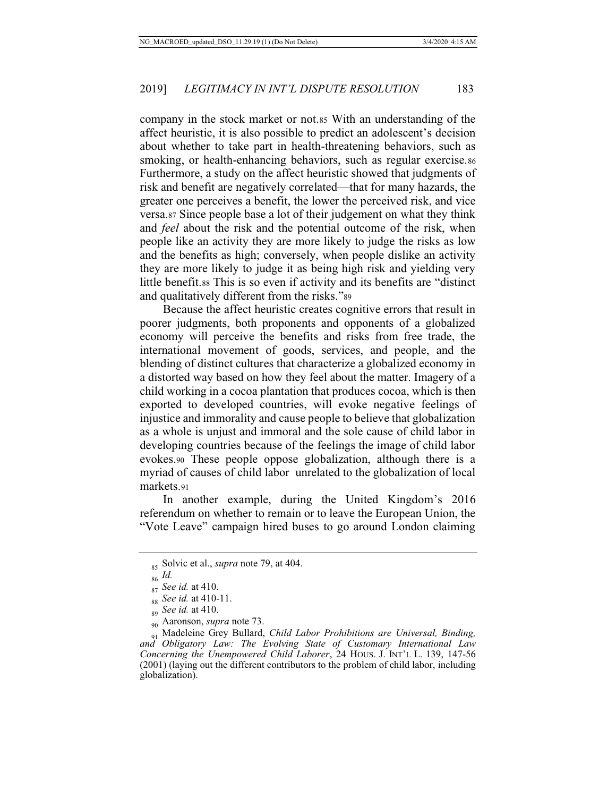company in the stock market or not.85 With an understanding of the affect heuristic, it is also possible to predict an adolescent's decision about whether to take part in health-threatening behaviors, such as smoking, or health-enhancing behaviors, such as regular exercise.86 Furthermore, a study on the affect heuristic showed that judgments of risk and benefit are negatively correlated—that for many hazards, the greater one perceives a benefit, the lower the perceived risk, and vice versa.87 Since people base a lot of their judgement on what they think and *feel* about the risk and the potential outcome of the risk, when people like an activity they are more likely to judge the risks as low and the benefits as high; conversely, when people dislike an activity they are more likely to judge it as being high risk and yielding very little benefit.88 This is so even if activity and its benefits are "distinct and qualitatively different from the risks."<sup>89</sup>

Because the affect heuristic creates cognitive errors that result in poorer judgments, both proponents and opponents of a globalized economy will perceive the benefits and risks from free trade, the international movement of goods, services, and people, and the blending of distinct cultures that characterize a globalized economy in a distorted way based on how they feel about the matter. Imagery of a child working in a cocoa plantation that produces cocoa, which is then exported to developed countries, will evoke negative feelings of injustice and immorality and cause people to believe that globalization as a whole is unjust and immoral and the sole cause of child labor in developing countries because of the feelings the image of child labor evokes.90 These people oppose globalization, although there is a myriad of causes of child labor unrelated to the globalization of local markets.91

In another example, during the United Kingdom's 2016 referendum on whether to remain or to leave the European Union, the "Vote Leave" campaign hired buses to go around London claiming

<sup>85</sup> Solvic et al., *supra* note 79, at 404.

<sup>86</sup> *Id.* 

<sup>87</sup> *See id.* at 410.

<sup>88</sup> *See id.* at 410-11.

<sup>89</sup> *See id.* at 410.

<sup>90</sup> Aaronson, *supra* note 73.

<sup>91</sup> Madeleine Grey Bullard, *Child Labor Prohibitions are Universal, Binding, and Obligatory Law: The Evolving State of Customary International Law Concerning the Unempowered Child Laborer*, 24 HOUS. J. INT'L L. 139, 147-56 (2001) (laying out the different contributors to the problem of child labor, including globalization).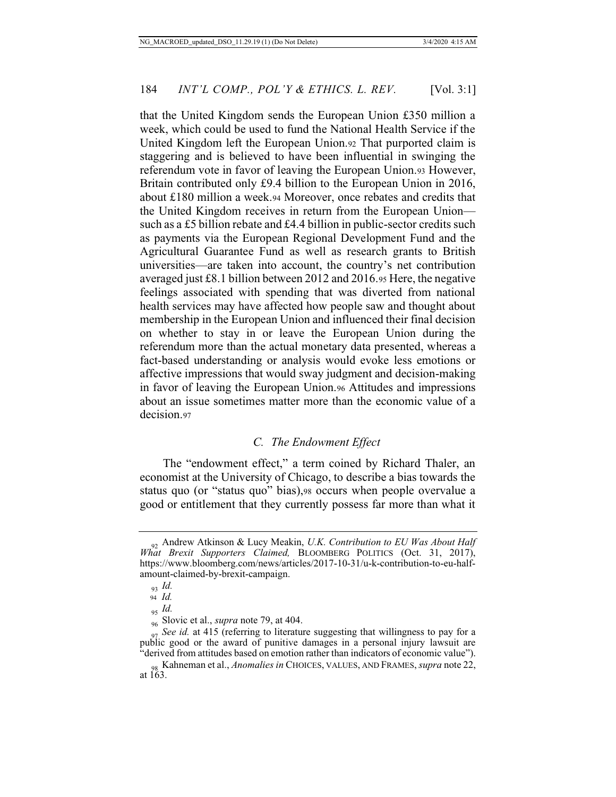that the United Kingdom sends the European Union £350 million a week, which could be used to fund the National Health Service if the United Kingdom left the European Union.92 That purported claim is staggering and is believed to have been influential in swinging the referendum vote in favor of leaving the European Union.93 However, Britain contributed only £9.4 billion to the European Union in 2016, about £180 million a week.94 Moreover, once rebates and credits that the United Kingdom receives in return from the European Union such as a £5 billion rebate and £4.4 billion in public-sector credits such as payments via the European Regional Development Fund and the Agricultural Guarantee Fund as well as research grants to British universities—are taken into account, the country's net contribution averaged just £8.1 billion between 2012 and 2016.95 Here, the negative feelings associated with spending that was diverted from national health services may have affected how people saw and thought about membership in the European Union and influenced their final decision on whether to stay in or leave the European Union during the referendum more than the actual monetary data presented, whereas a fact-based understanding or analysis would evoke less emotions or affective impressions that would sway judgment and decision-making in favor of leaving the European Union.96 Attitudes and impressions about an issue sometimes matter more than the economic value of a decision.97

## *C. The Endowment Effect*

The "endowment effect," a term coined by Richard Thaler, an economist at the University of Chicago, to describe a bias towards the status quo (or "status quo" bias),98 occurs when people overvalue a good or entitlement that they currently possess far more than what it

<sup>92</sup> Andrew Atkinson & Lucy Meakin, *U.K. Contribution to EU Was About Half What Brexit Supporters Claimed,* BLOOMBERG POLITICS (Oct. 31, 2017), https://www.bloomberg.com/news/articles/2017-10-31/u-k-contribution-to-eu-halfamount-claimed-by-brexit-campaign.

<sup>93</sup> *Id.*

 <sup>94</sup> *Id.*

<sup>95</sup> *Id.*

<sup>96</sup> Slovic et al., *supra* note 79, at 404.

<sup>97</sup> *See id.* at 415 (referring to literature suggesting that willingness to pay for a public good or the award of punitive damages in a personal injury lawsuit are "derived from attitudes based on emotion rather than indicators of economic value").

<sup>98</sup> Kahneman et al., *Anomalies in* CHOICES, VALUES, AND FRAMES, *supra* note 22, at 163.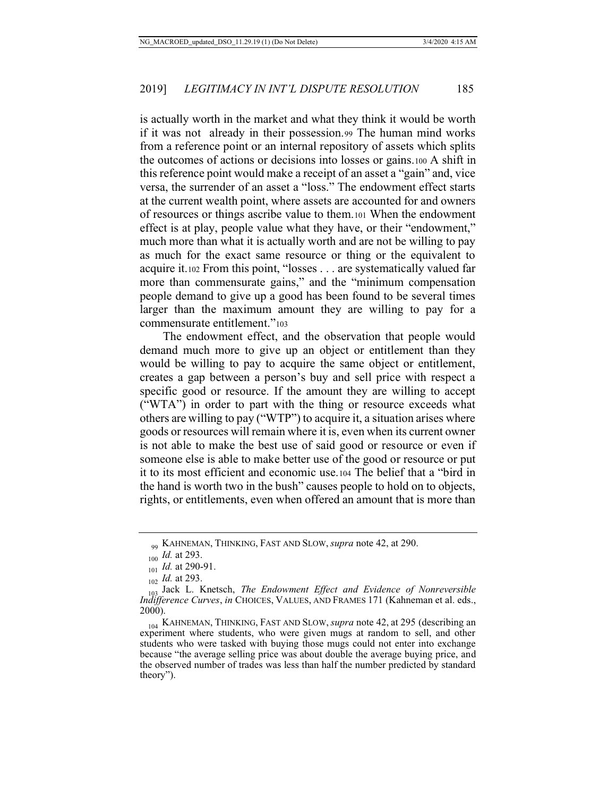is actually worth in the market and what they think it would be worth if it was not already in their possession.99 The human mind works from a reference point or an internal repository of assets which splits the outcomes of actions or decisions into losses or gains.100 A shift in this reference point would make a receipt of an asset a "gain" and, vice versa, the surrender of an asset a "loss." The endowment effect starts at the current wealth point, where assets are accounted for and owners of resources or things ascribe value to them.101 When the endowment effect is at play, people value what they have, or their "endowment," much more than what it is actually worth and are not be willing to pay as much for the exact same resource or thing or the equivalent to acquire it.102 From this point, "losses . . . are systematically valued far more than commensurate gains," and the "minimum compensation people demand to give up a good has been found to be several times larger than the maximum amount they are willing to pay for a commensurate entitlement."<sup>103</sup>

The endowment effect, and the observation that people would demand much more to give up an object or entitlement than they would be willing to pay to acquire the same object or entitlement, creates a gap between a person's buy and sell price with respect a specific good or resource. If the amount they are willing to accept ("WTA") in order to part with the thing or resource exceeds what others are willing to pay ("WTP") to acquire it, a situation arises where goods or resources will remain where it is, even when its current owner is not able to make the best use of said good or resource or even if someone else is able to make better use of the good or resource or put it to its most efficient and economic use.104 The belief that a "bird in the hand is worth two in the bush" causes people to hold on to objects, rights, or entitlements, even when offered an amount that is more than

<sup>99</sup> KAHNEMAN, THINKING, FAST AND SLOW, *supra* note 42, at 290.

<sup>100</sup> *Id.* at 293.

<sup>101</sup> *Id.* at 290-91.

<sup>102</sup> *Id.* at 293.

<sup>103</sup> Jack L. Knetsch, *The Endowment Effect and Evidence of Nonreversible Indifference Curves*, *in* CHOICES, VALUES, AND FRAMES 171 (Kahneman et al. eds., 2000).

<sup>104</sup> KAHNEMAN, THINKING, FAST AND SLOW, *supra* note 42, at 295 (describing an experiment where students, who were given mugs at random to sell, and other students who were tasked with buying those mugs could not enter into exchange because "the average selling price was about double the average buying price, and the observed number of trades was less than half the number predicted by standard theory").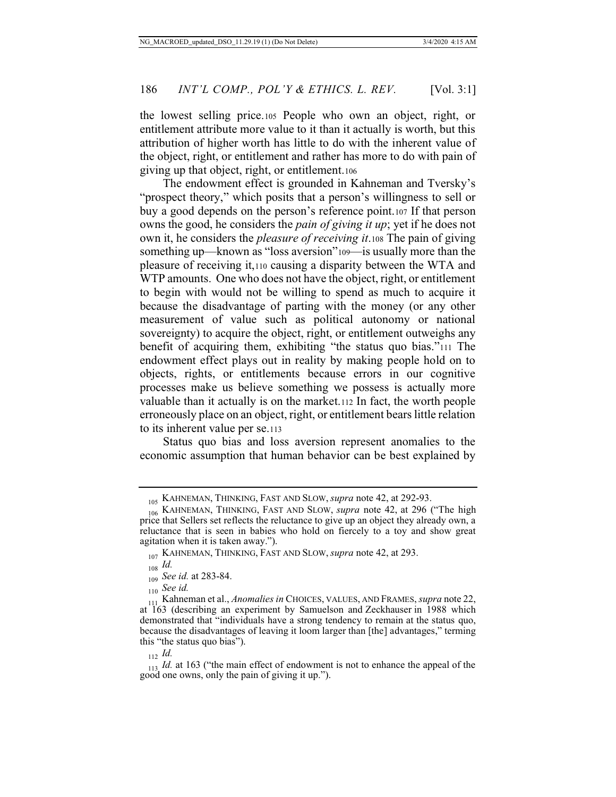the lowest selling price.105 People who own an object, right, or entitlement attribute more value to it than it actually is worth, but this attribution of higher worth has little to do with the inherent value of the object, right, or entitlement and rather has more to do with pain of giving up that object, right, or entitlement.106

The endowment effect is grounded in Kahneman and Tversky's "prospect theory," which posits that a person's willingness to sell or buy a good depends on the person's reference point.107 If that person owns the good, he considers the *pain of giving it up*; yet if he does not own it, he considers the *pleasure of receiving it*.108 The pain of giving something up—known as "loss aversion"109—is usually more than the pleasure of receiving it,110 causing a disparity between the WTA and WTP amounts. One who does not have the object, right, or entitlement to begin with would not be willing to spend as much to acquire it because the disadvantage of parting with the money (or any other measurement of value such as political autonomy or national sovereignty) to acquire the object, right, or entitlement outweighs any benefit of acquiring them, exhibiting "the status quo bias."111 The endowment effect plays out in reality by making people hold on to objects, rights, or entitlements because errors in our cognitive processes make us believe something we possess is actually more valuable than it actually is on the market.112 In fact, the worth people erroneously place on an object, right, or entitlement bears little relation to its inherent value per se.113

Status quo bias and loss aversion represent anomalies to the economic assumption that human behavior can be best explained by

<sup>105</sup> KAHNEMAN, THINKING, FAST AND SLOW, *supra* note 42, at 292-93.

<sup>106</sup> KAHNEMAN, THINKING, FAST AND SLOW, *supra* note 42, at 296 ("The high price that Sellers set reflects the reluctance to give up an object they already own, a reluctance that is seen in babies who hold on fiercely to a toy and show great agitation when it is taken away.").

<sup>107</sup> KAHNEMAN, THINKING, FAST AND SLOW, *supra* note 42, at 293.

 $_{108}$  *Id.* 

<sup>109</sup> *See id.* at 283-84.

<sup>110</sup> *See id.*

<sup>&</sup>lt;sup>111</sup> Kahneman et al., *Anomalies in* CHOICES, VALUES, AND FRAMES, *supra* note 22, at 163 (describing an experiment by Samuelson and Zeckhauser in 1988 which demonstrated that "individuals have a strong tendency to remain at the status quo, because the disadvantages of leaving it loom larger than [the] advantages," terming this "the status quo bias").

<sup>112</sup> *Id.*

<sup>&</sup>lt;sup>113</sup><sub>113</sub> *Id.* at 163 ("the main effect of endowment is not to enhance the appeal of the good one owns, only the pain of giving it up.").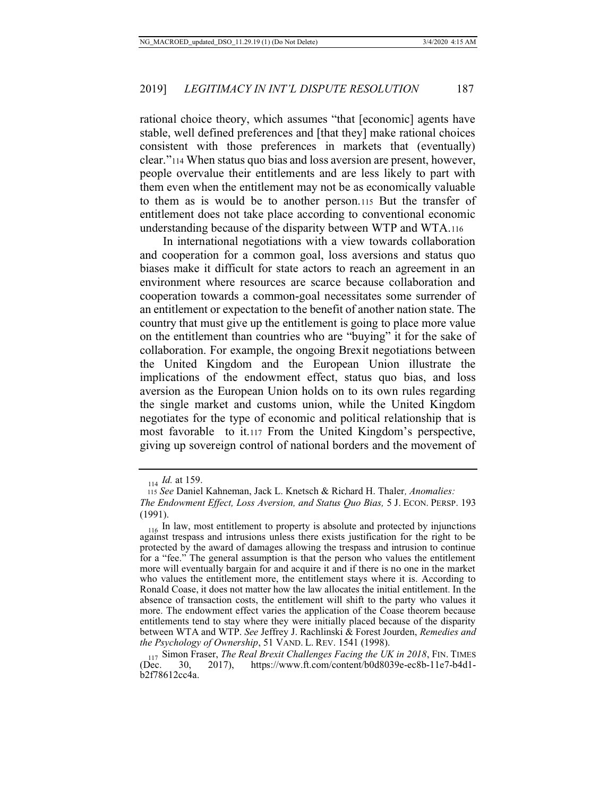rational choice theory, which assumes "that [economic] agents have stable, well defined preferences and [that they] make rational choices consistent with those preferences in markets that (eventually) clear."114 When status quo bias and loss aversion are present, however, people overvalue their entitlements and are less likely to part with them even when the entitlement may not be as economically valuable to them as is would be to another person.115 But the transfer of entitlement does not take place according to conventional economic understanding because of the disparity between WTP and WTA.116

In international negotiations with a view towards collaboration and cooperation for a common goal, loss aversions and status quo biases make it difficult for state actors to reach an agreement in an environment where resources are scarce because collaboration and cooperation towards a common-goal necessitates some surrender of an entitlement or expectation to the benefit of another nation state. The country that must give up the entitlement is going to place more value on the entitlement than countries who are "buying" it for the sake of collaboration. For example, the ongoing Brexit negotiations between the United Kingdom and the European Union illustrate the implications of the endowment effect, status quo bias, and loss aversion as the European Union holds on to its own rules regarding the single market and customs union, while the United Kingdom negotiates for the type of economic and political relationship that is most favorable to it.117 From the United Kingdom's perspective, giving up sovereign control of national borders and the movement of

<sup>114</sup> *Id.* at 159.

 <sup>115</sup> *See* Daniel Kahneman, Jack L. Knetsch & Richard H. Thaler*, Anomalies: The Endowment Effect, Loss Aversion, and Status Quo Bias,* 5 J. ECON. PERSP. 193 (1991).

<sup>&</sup>lt;sub>116</sub> In law, most entitlement to property is absolute and protected by injunctions against trespass and intrusions unless there exists justification for the right to be protected by the award of damages allowing the trespass and intrusion to continue for a "fee." The general assumption is that the person who values the entitlement more will eventually bargain for and acquire it and if there is no one in the market who values the entitlement more, the entitlement stays where it is. According to Ronald Coase, it does not matter how the law allocates the initial entitlement. In the absence of transaction costs, the entitlement will shift to the party who values it more. The endowment effect varies the application of the Coase theorem because entitlements tend to stay where they were initially placed because of the disparity between WTA and WTP. *See* Jeffrey J. Rachlinski & Forest Jourden, *Remedies and the Psychology of Ownership*, 51 VAND. L. REV. 1541 (1998).

<sup>&</sup>lt;sup>117</sup> Simon Fraser, *The Real Brexit Challenges Facing the UK in 2018*, FIN. TIMES<br>(Dec. 30, 2017), https://www.ft.com/content/b0d8039e-ec8b-11e7-b4d1https://www.ft.com/content/b0d8039e-ec8b-11e7-b4d1b2f78612cc4a.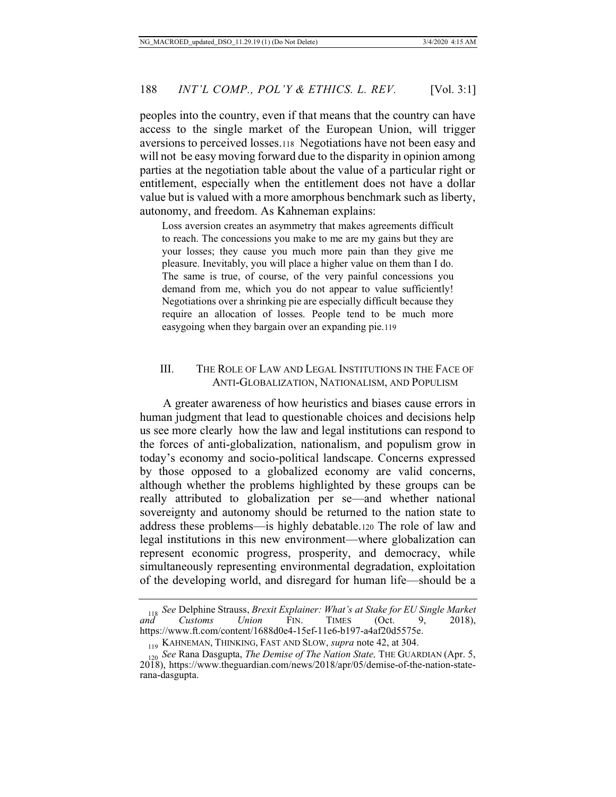peoples into the country, even if that means that the country can have access to the single market of the European Union, will trigger aversions to perceived losses.118 Negotiations have not been easy and will not be easy moving forward due to the disparity in opinion among parties at the negotiation table about the value of a particular right or entitlement, especially when the entitlement does not have a dollar value but is valued with a more amorphous benchmark such as liberty, autonomy, and freedom. As Kahneman explains:

Loss aversion creates an asymmetry that makes agreements difficult to reach. The concessions you make to me are my gains but they are your losses; they cause you much more pain than they give me pleasure. Inevitably, you will place a higher value on them than I do. The same is true, of course, of the very painful concessions you demand from me, which you do not appear to value sufficiently! Negotiations over a shrinking pie are especially difficult because they require an allocation of losses. People tend to be much more easygoing when they bargain over an expanding pie.119

#### III. THE ROLE OF LAW AND LEGAL INSTITUTIONS IN THE FACE OF ANTI-GLOBALIZATION, NATIONALISM, AND POPULISM

A greater awareness of how heuristics and biases cause errors in human judgment that lead to questionable choices and decisions help us see more clearly how the law and legal institutions can respond to the forces of anti-globalization, nationalism, and populism grow in today's economy and socio-political landscape. Concerns expressed by those opposed to a globalized economy are valid concerns, although whether the problems highlighted by these groups can be really attributed to globalization per se—and whether national sovereignty and autonomy should be returned to the nation state to address these problems—is highly debatable.120 The role of law and legal institutions in this new environment—where globalization can represent economic progress, prosperity, and democracy, while simultaneously representing environmental degradation, exploitation of the developing world, and disregard for human life—should be a

<sup>118</sup> *See* Delphine Strauss, *Brexit Explainer: What's at Stake for EU Single Market and Customs Union* FIN. TIMES (Oct. 9, 2018), https://www.ft.com/content/1688d0e4-15ef-11e6-b197-a4af20d5575e.

<sup>119</sup> KAHNEMAN, THINKING, FAST AND SLOW, *supra* note 42, at 304.

<sup>120</sup> *See* Rana Dasgupta, *The Demise of The Nation State,* THE GUARDIAN (Apr. 5, 2018), https://www.theguardian.com/news/2018/apr/05/demise-of-the-nation-staterana-dasgupta.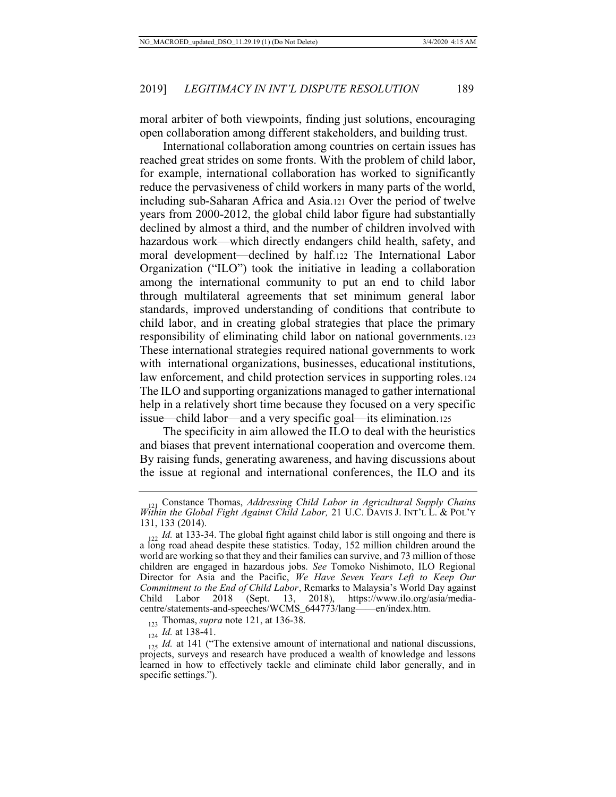moral arbiter of both viewpoints, finding just solutions, encouraging open collaboration among different stakeholders, and building trust.

International collaboration among countries on certain issues has reached great strides on some fronts. With the problem of child labor, for example, international collaboration has worked to significantly reduce the pervasiveness of child workers in many parts of the world, including sub-Saharan Africa and Asia.121 Over the period of twelve years from 2000-2012, the global child labor figure had substantially declined by almost a third, and the number of children involved with hazardous work—which directly endangers child health, safety, and moral development—declined by half.122 The International Labor Organization ("ILO") took the initiative in leading a collaboration among the international community to put an end to child labor through multilateral agreements that set minimum general labor standards, improved understanding of conditions that contribute to child labor, and in creating global strategies that place the primary responsibility of eliminating child labor on national governments.123 These international strategies required national governments to work with international organizations, businesses, educational institutions, law enforcement, and child protection services in supporting roles.124 The ILO and supporting organizations managed to gather international help in a relatively short time because they focused on a very specific issue—child labor—and a very specific goal—its elimination.125

The specificity in aim allowed the ILO to deal with the heuristics and biases that prevent international cooperation and overcome them. By raising funds, generating awareness, and having discussions about the issue at regional and international conferences, the ILO and its

<sup>121</sup> Constance Thomas, *Addressing Child Labor in Agricultural Supply Chains Within the Global Fight Against Child Labor,* 21 U.C. DAVIS J. INT'L L. & POL'Y 131, 133 (2014).

 $122$  *Id.* at 133-34. The global fight against child labor is still ongoing and there is a long road ahead despite these statistics. Today, 152 million children around the world are working so that they and their families can survive, and 73 million of those children are engaged in hazardous jobs. *See* Tomoko Nishimoto, ILO Regional Director for Asia and the Pacific, *We Have Seven Years Left to Keep Our Commitment to the End of Child Labor*, Remarks to Malaysia's World Day against Child Labor 2018 (Sept. 13, 2018), https://www.ilo.org/asia/mediacentre/statements-and-speeches/WCMS\_644773/lang——en/index.htm.

<sup>123</sup> Thomas, *supra* note 121, at 136-38.

<sup>124</sup> *Id.* at 138-41.

<sup>125</sup> *Id.* at 141 ("The extensive amount of international and national discussions, projects, surveys and research have produced a wealth of knowledge and lessons learned in how to effectively tackle and eliminate child labor generally, and in specific settings.").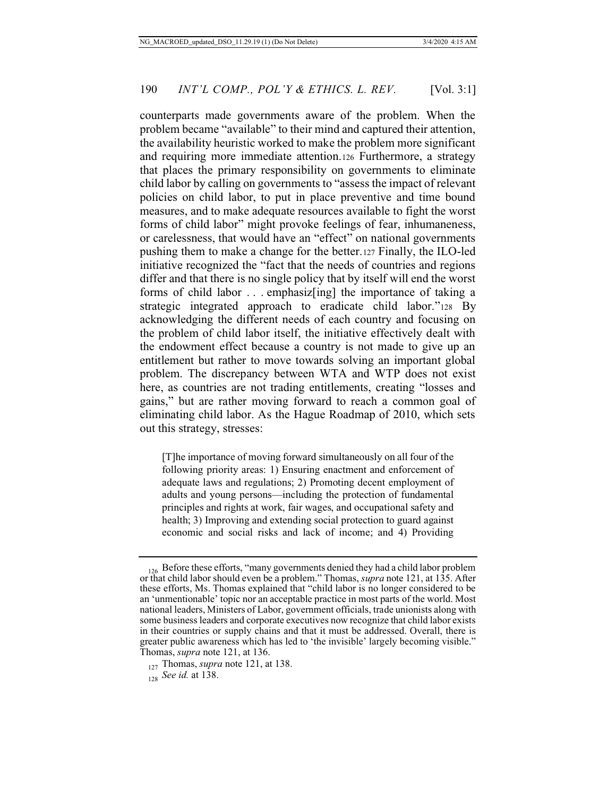counterparts made governments aware of the problem. When the problem became "available" to their mind and captured their attention, the availability heuristic worked to make the problem more significant and requiring more immediate attention.126 Furthermore, a strategy that places the primary responsibility on governments to eliminate child labor by calling on governments to "assess the impact of relevant policies on child labor, to put in place preventive and time bound measures, and to make adequate resources available to fight the worst forms of child labor" might provoke feelings of fear, inhumaneness, or carelessness, that would have an "effect" on national governments pushing them to make a change for the better.127 Finally, the ILO-led initiative recognized the "fact that the needs of countries and regions differ and that there is no single policy that by itself will end the worst forms of child labor . . . emphasiz[ing] the importance of taking a strategic integrated approach to eradicate child labor."128 By acknowledging the different needs of each country and focusing on the problem of child labor itself, the initiative effectively dealt with the endowment effect because a country is not made to give up an entitlement but rather to move towards solving an important global problem. The discrepancy between WTA and WTP does not exist here, as countries are not trading entitlements, creating "losses and gains," but are rather moving forward to reach a common goal of eliminating child labor. As the Hague Roadmap of 2010, which sets out this strategy, stresses:

[T]he importance of moving forward simultaneously on all four of the following priority areas: 1) Ensuring enactment and enforcement of adequate laws and regulations; 2) Promoting decent employment of adults and young persons—including the protection of fundamental principles and rights at work, fair wages, and occupational safety and health; 3) Improving and extending social protection to guard against economic and social risks and lack of income; and 4) Providing

<sup>126</sup> Before these efforts, "many governments denied they had a child labor problem or that child labor should even be a problem." Thomas, *supra* note 121, at 135. After these efforts, Ms. Thomas explained that "child labor is no longer considered to be an 'unmentionable' topic nor an acceptable practice in most parts of the world. Most national leaders, Ministers of Labor, government officials, trade unionists along with some business leaders and corporate executives now recognize that child labor exists in their countries or supply chains and that it must be addressed. Overall, there is greater public awareness which has led to 'the invisible' largely becoming visible." Thomas, *supra* note 121, at 136.

<sup>127</sup> Thomas, *supra* note 121, at 138.

<sup>128</sup> *See id.* at 138.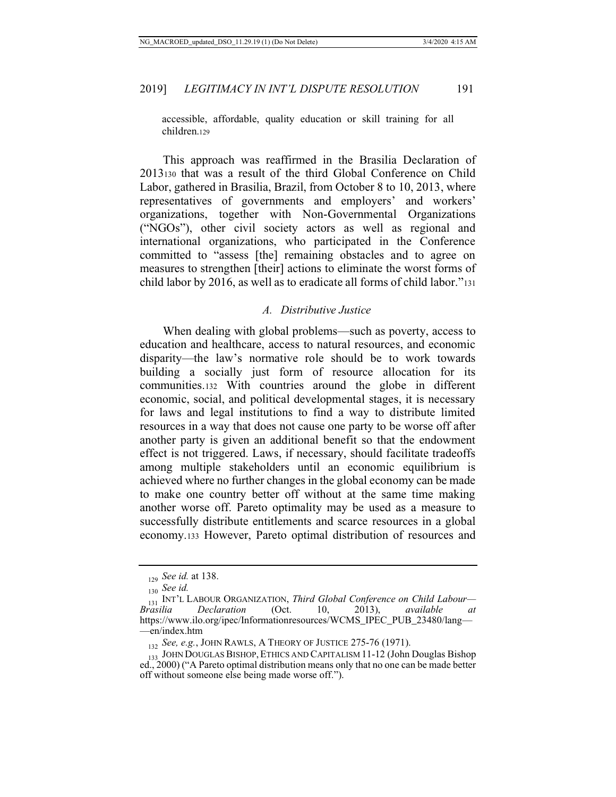accessible, affordable, quality education or skill training for all children.129

This approach was reaffirmed in the Brasilia Declaration of 2013130 that was a result of the third Global Conference on Child Labor, gathered in Brasilia, Brazil, from October 8 to 10, 2013, where representatives of governments and employers' and workers' organizations, together with Non-Governmental Organizations ("NGOs"), other civil society actors as well as regional and international organizations, who participated in the Conference committed to "assess [the] remaining obstacles and to agree on measures to strengthen [their] actions to eliminate the worst forms of child labor by 2016, as well as to eradicate all forms of child labor."<sup>131</sup>

#### *A. Distributive Justice*

When dealing with global problems—such as poverty, access to education and healthcare, access to natural resources, and economic disparity—the law's normative role should be to work towards building a socially just form of resource allocation for its communities.132 With countries around the globe in different economic, social, and political developmental stages, it is necessary for laws and legal institutions to find a way to distribute limited resources in a way that does not cause one party to be worse off after another party is given an additional benefit so that the endowment effect is not triggered. Laws, if necessary, should facilitate tradeoffs among multiple stakeholders until an economic equilibrium is achieved where no further changes in the global economy can be made to make one country better off without at the same time making another worse off. Pareto optimality may be used as a measure to successfully distribute entitlements and scarce resources in a global economy.133 However, Pareto optimal distribution of resources and

<sup>129</sup> *See id.* at 138.

<sup>130</sup> *See id.*

<sup>131</sup> INT'L LABOUR ORGANIZATION, *Third Global Conference on Child Labour—*  $Declaration$ https://www.ilo.org/ipec/Informationresources/WCMS\_IPEC\_PUB\_23480/lang— —en/index.htm

<sup>132</sup> *See, e.g.*, JOHN RAWLS, A THEORY OF JUSTICE 275-76 (1971).

<sup>133</sup> JOHN DOUGLAS BISHOP,ETHICS AND CAPITALISM 11-12 (John Douglas Bishop ed., 2000) ("A Pareto optimal distribution means only that no one can be made better off without someone else being made worse off.").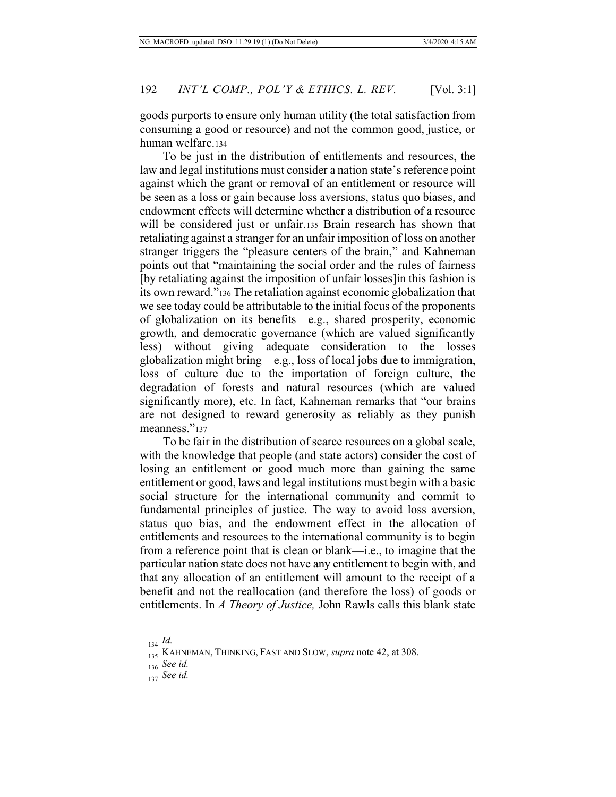goods purports to ensure only human utility (the total satisfaction from consuming a good or resource) and not the common good, justice, or human welfare.134

To be just in the distribution of entitlements and resources, the law and legal institutions must consider a nation state's reference point against which the grant or removal of an entitlement or resource will be seen as a loss or gain because loss aversions, status quo biases, and endowment effects will determine whether a distribution of a resource will be considered just or unfair.<sup>135</sup> Brain research has shown that retaliating against a stranger for an unfair imposition of loss on another stranger triggers the "pleasure centers of the brain," and Kahneman points out that "maintaining the social order and the rules of fairness [by retaliating against the imposition of unfair losses]in this fashion is its own reward."136 The retaliation against economic globalization that we see today could be attributable to the initial focus of the proponents of globalization on its benefits—e.g., shared prosperity, economic growth, and democratic governance (which are valued significantly less)—without giving adequate consideration to the losses globalization might bring—e.g., loss of local jobs due to immigration, loss of culture due to the importation of foreign culture, the degradation of forests and natural resources (which are valued significantly more), etc. In fact, Kahneman remarks that "our brains are not designed to reward generosity as reliably as they punish meanness."<sup>137</sup>

To be fair in the distribution of scarce resources on a global scale, with the knowledge that people (and state actors) consider the cost of losing an entitlement or good much more than gaining the same entitlement or good, laws and legal institutions must begin with a basic social structure for the international community and commit to fundamental principles of justice. The way to avoid loss aversion, status quo bias, and the endowment effect in the allocation of entitlements and resources to the international community is to begin from a reference point that is clean or blank—i.e., to imagine that the particular nation state does not have any entitlement to begin with, and that any allocation of an entitlement will amount to the receipt of a benefit and not the reallocation (and therefore the loss) of goods or entitlements. In *A Theory of Justice,* John Rawls calls this blank state

<sup>134</sup> *Id.*

<sup>135</sup> KAHNEMAN, THINKING, FAST AND SLOW, *supra* note 42, at 308.

<sup>136</sup> *See id.*

<sup>137</sup> *See id.*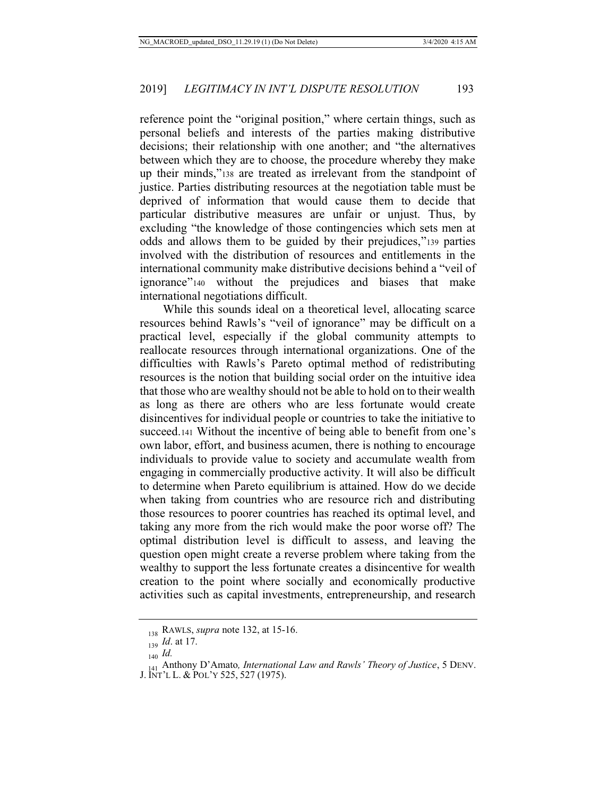reference point the "original position," where certain things, such as personal beliefs and interests of the parties making distributive decisions; their relationship with one another; and "the alternatives between which they are to choose, the procedure whereby they make up their minds,"138 are treated as irrelevant from the standpoint of justice. Parties distributing resources at the negotiation table must be deprived of information that would cause them to decide that particular distributive measures are unfair or unjust. Thus, by excluding "the knowledge of those contingencies which sets men at odds and allows them to be guided by their prejudices,"139 parties involved with the distribution of resources and entitlements in the international community make distributive decisions behind a "veil of ignorance"140 without the prejudices and biases that make international negotiations difficult.

While this sounds ideal on a theoretical level, allocating scarce resources behind Rawls's "veil of ignorance" may be difficult on a practical level, especially if the global community attempts to reallocate resources through international organizations. One of the difficulties with Rawls's Pareto optimal method of redistributing resources is the notion that building social order on the intuitive idea that those who are wealthy should not be able to hold on to their wealth as long as there are others who are less fortunate would create disincentives for individual people or countries to take the initiative to succeed.<sup>141</sup> Without the incentive of being able to benefit from one's own labor, effort, and business acumen, there is nothing to encourage individuals to provide value to society and accumulate wealth from engaging in commercially productive activity. It will also be difficult to determine when Pareto equilibrium is attained. How do we decide when taking from countries who are resource rich and distributing those resources to poorer countries has reached its optimal level, and taking any more from the rich would make the poor worse off? The optimal distribution level is difficult to assess, and leaving the question open might create a reverse problem where taking from the wealthy to support the less fortunate creates a disincentive for wealth creation to the point where socially and economically productive activities such as capital investments, entrepreneurship, and research

<sup>138</sup> RAWLS, *supra* note 132, at 15-16.

<sup>139</sup> *Id*. at 17.

<sup>140</sup> *Id.*

<sup>&</sup>lt;sup>111</sup> Anthony D'Amato, *International Law and Rawls' Theory of Justice*, 5 DENV.

J. INT'L L. & POL'Y 525, 527 (1975).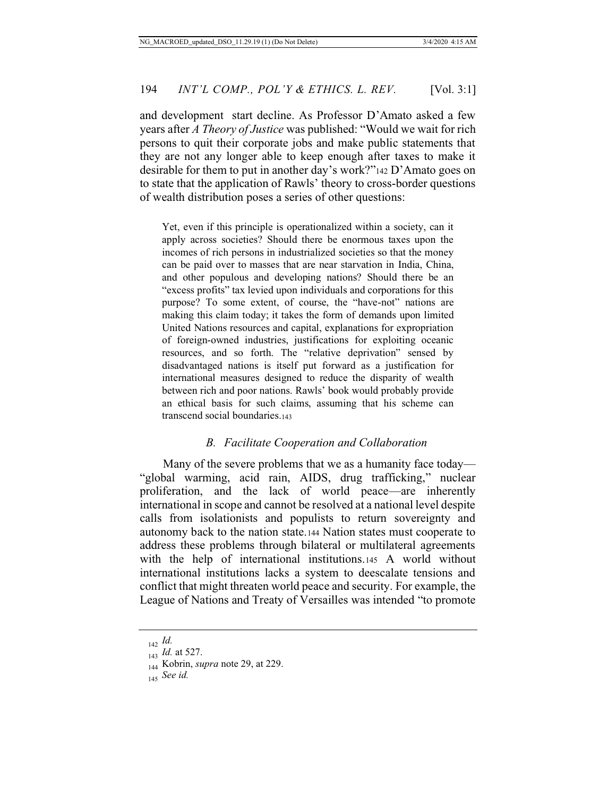and development start decline. As Professor D'Amato asked a few years after *A Theory of Justice* was published: "Would we wait for rich persons to quit their corporate jobs and make public statements that they are not any longer able to keep enough after taxes to make it desirable for them to put in another day's work?"142 D'Amato goes on to state that the application of Rawls' theory to cross-border questions of wealth distribution poses a series of other questions:

Yet, even if this principle is operationalized within a society, can it apply across societies? Should there be enormous taxes upon the incomes of rich persons in industrialized societies so that the money can be paid over to masses that are near starvation in India, China, and other populous and developing nations? Should there be an "excess profits" tax levied upon individuals and corporations for this purpose? To some extent, of course, the "have-not" nations are making this claim today; it takes the form of demands upon limited United Nations resources and capital, explanations for expropriation of foreign-owned industries, justifications for exploiting oceanic resources, and so forth. The "relative deprivation" sensed by disadvantaged nations is itself put forward as a justification for international measures designed to reduce the disparity of wealth between rich and poor nations. Rawls' book would probably provide an ethical basis for such claims, assuming that his scheme can transcend social boundaries.143

#### *B. Facilitate Cooperation and Collaboration*

Many of the severe problems that we as a humanity face today— "global warming, acid rain, AIDS, drug trafficking," nuclear proliferation, and the lack of world peace—are inherently international in scope and cannot be resolved at a national level despite calls from isolationists and populists to return sovereignty and autonomy back to the nation state.144 Nation states must cooperate to address these problems through bilateral or multilateral agreements with the help of international institutions.145 A world without international institutions lacks a system to deescalate tensions and conflict that might threaten world peace and security. For example, the League of Nations and Treaty of Versailles was intended "to promote

<sup>142</sup> *Id.*

<sup>143</sup> *Id.* at 527.

<sup>144</sup> Kobrin, *supra* note 29, at 229.

<sup>145</sup> *See id.*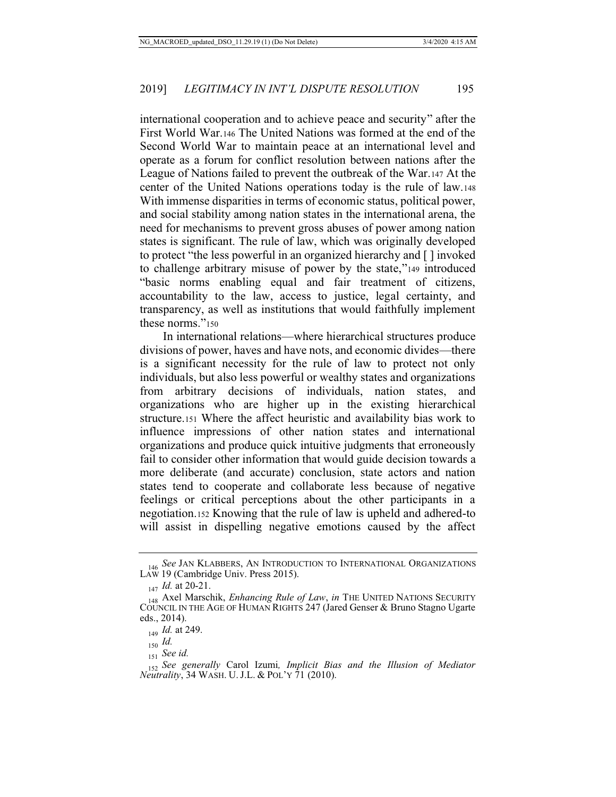international cooperation and to achieve peace and security" after the First World War.146 The United Nations was formed at the end of the Second World War to maintain peace at an international level and operate as a forum for conflict resolution between nations after the League of Nations failed to prevent the outbreak of the War.147 At the center of the United Nations operations today is the rule of law.148 With immense disparities in terms of economic status, political power, and social stability among nation states in the international arena, the need for mechanisms to prevent gross abuses of power among nation states is significant. The rule of law, which was originally developed to protect "the less powerful in an organized hierarchy and [ ] invoked to challenge arbitrary misuse of power by the state,"149 introduced "basic norms enabling equal and fair treatment of citizens, accountability to the law, access to justice, legal certainty, and transparency, as well as institutions that would faithfully implement these norms."<sup>150</sup>

In international relations—where hierarchical structures produce divisions of power, haves and have nots, and economic divides—there is a significant necessity for the rule of law to protect not only individuals, but also less powerful or wealthy states and organizations from arbitrary decisions of individuals, nation states, and organizations who are higher up in the existing hierarchical structure.151 Where the affect heuristic and availability bias work to influence impressions of other nation states and international organizations and produce quick intuitive judgments that erroneously fail to consider other information that would guide decision towards a more deliberate (and accurate) conclusion, state actors and nation states tend to cooperate and collaborate less because of negative feelings or critical perceptions about the other participants in a negotiation.152 Knowing that the rule of law is upheld and adhered-to will assist in dispelling negative emotions caused by the affect

<sup>146</sup> *See JAN KLABBERS, AN INTRODUCTION TO INTERNATIONAL ORGANIZATIONS* LAW 19 (Cambridge Univ. Press 2015).

<sup>147</sup> *Id.* at 20-21.

<sup>148</sup> Axel Marschik, *Enhancing Rule of Law*, *in* THE UNITED NATIONS SECURITY COUNCIL IN THE AGE OF HUMAN RIGHTS 247 (Jared Genser & Bruno Stagno Ugarte eds., 2014).

<sup>149</sup> *Id.* at 249.

<sup>150</sup> *Id.*

<sup>151</sup> *See id.*

<sup>152</sup> *See generally* Carol Izumi*, Implicit Bias and the Illusion of Mediator Neutrality*, 34 WASH. U.J.L. & POL'Y 71 (2010).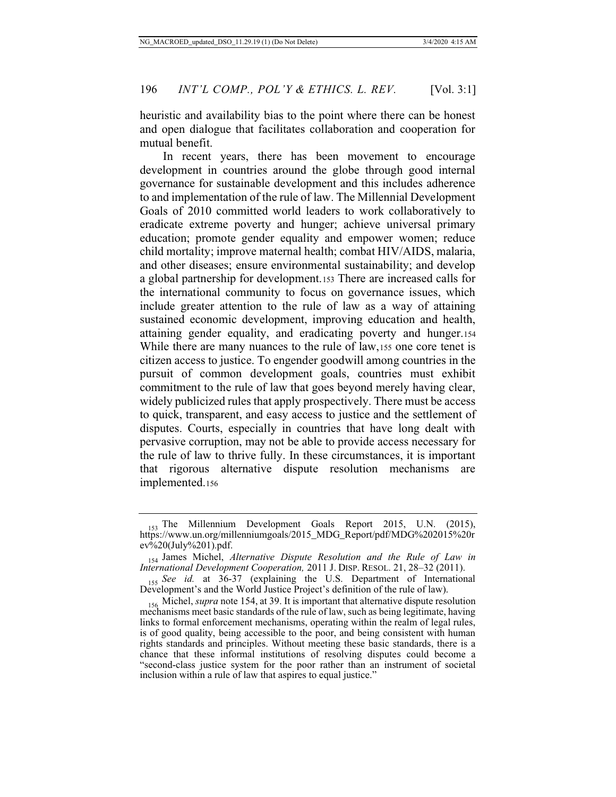heuristic and availability bias to the point where there can be honest and open dialogue that facilitates collaboration and cooperation for mutual benefit.

In recent years, there has been movement to encourage development in countries around the globe through good internal governance for sustainable development and this includes adherence to and implementation of the rule of law. The Millennial Development Goals of 2010 committed world leaders to work collaboratively to eradicate extreme poverty and hunger; achieve universal primary education; promote gender equality and empower women; reduce child mortality; improve maternal health; combat HIV/AIDS, malaria, and other diseases; ensure environmental sustainability; and develop a global partnership for development.153 There are increased calls for the international community to focus on governance issues, which include greater attention to the rule of law as a way of attaining sustained economic development, improving education and health, attaining gender equality, and eradicating poverty and hunger.154 While there are many nuances to the rule of law,155 one core tenet is citizen access to justice. To engender goodwill among countries in the pursuit of common development goals, countries must exhibit commitment to the rule of law that goes beyond merely having clear, widely publicized rules that apply prospectively. There must be access to quick, transparent, and easy access to justice and the settlement of disputes. Courts, especially in countries that have long dealt with pervasive corruption, may not be able to provide access necessary for the rule of law to thrive fully. In these circumstances, it is important that rigorous alternative dispute resolution mechanisms are implemented.156

<sup>&</sup>lt;sub>153</sub> The Millennium Development Goals Report 2015, U.N. (2015), https://www.un.org/millenniumgoals/2015\_MDG\_Report/pdf/MDG%202015%20r ev%20(July%201).pdf.

<sup>154</sup> James Michel, *Alternative Dispute Resolution and the Rule of Law in International Development Cooperation,* 2011 J. DISP. RESOL. 21, 28–32 (2011).

<sup>155</sup> *See id.* at 36-37 (explaining the U.S. Department of International Development's and the World Justice Project's definition of the rule of law).

<sup>156</sup> Michel, *supra* note 154, at 39. It is important that alternative dispute resolution mechanisms meet basic standards of the rule of law, such as being legitimate, having links to formal enforcement mechanisms, operating within the realm of legal rules, is of good quality, being accessible to the poor, and being consistent with human rights standards and principles. Without meeting these basic standards, there is a chance that these informal institutions of resolving disputes could become a "second-class justice system for the poor rather than an instrument of societal inclusion within a rule of law that aspires to equal justice."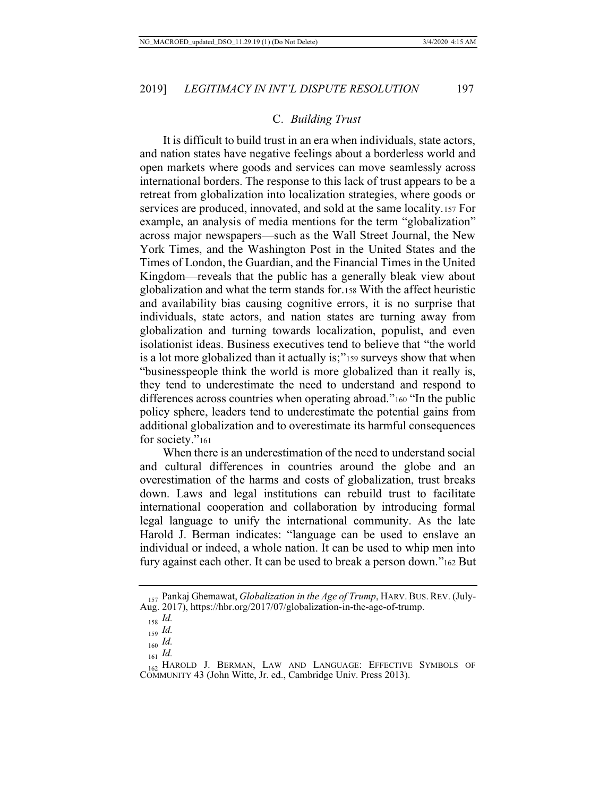#### C. *Building Trust*

It is difficult to build trust in an era when individuals, state actors, and nation states have negative feelings about a borderless world and open markets where goods and services can move seamlessly across international borders. The response to this lack of trust appears to be a retreat from globalization into localization strategies, where goods or services are produced, innovated, and sold at the same locality.157 For example, an analysis of media mentions for the term "globalization" across major newspapers—such as the Wall Street Journal, the New York Times, and the Washington Post in the United States and the Times of London, the Guardian, and the Financial Times in the United Kingdom—reveals that the public has a generally bleak view about globalization and what the term stands for.158 With the affect heuristic and availability bias causing cognitive errors, it is no surprise that individuals, state actors, and nation states are turning away from globalization and turning towards localization, populist, and even isolationist ideas. Business executives tend to believe that "the world is a lot more globalized than it actually is;"159 surveys show that when "businesspeople think the world is more globalized than it really is, they tend to underestimate the need to understand and respond to differences across countries when operating abroad."<sup>160</sup> "In the public policy sphere, leaders tend to underestimate the potential gains from additional globalization and to overestimate its harmful consequences for society."<sup>161</sup>

When there is an underestimation of the need to understand social and cultural differences in countries around the globe and an overestimation of the harms and costs of globalization, trust breaks down. Laws and legal institutions can rebuild trust to facilitate international cooperation and collaboration by introducing formal legal language to unify the international community. As the late Harold J. Berman indicates: "language can be used to enslave an individual or indeed, a whole nation. It can be used to whip men into fury against each other. It can be used to break a person down."162 But

<sup>157</sup> Pankaj Ghemawat, *Globalization in the Age of Trump*, HARV. BUS. REV. (July-Aug. 2017), https://hbr.org/2017/07/globalization-in-the-age-of-trump.

<sup>158</sup> *Id.*

<sup>159</sup> *Id.*

<sup>160</sup> *Id.*

<sup>161</sup> *Id.*

<sup>162</sup> HAROLD J. BERMAN, LAW AND LANGUAGE: EFFECTIVE SYMBOLS OF COMMUNITY 43 (John Witte, Jr. ed., Cambridge Univ. Press 2013).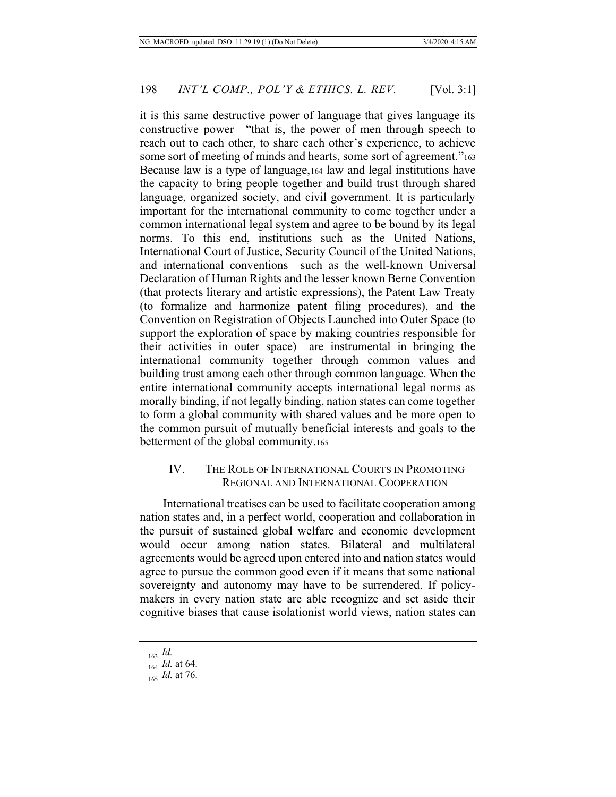it is this same destructive power of language that gives language its constructive power—"that is, the power of men through speech to reach out to each other, to share each other's experience, to achieve some sort of meeting of minds and hearts, some sort of agreement."<sup>163</sup> Because law is a type of language,164 law and legal institutions have the capacity to bring people together and build trust through shared language, organized society, and civil government. It is particularly important for the international community to come together under a common international legal system and agree to be bound by its legal norms. To this end, institutions such as the United Nations, International Court of Justice, Security Council of the United Nations, and international conventions—such as the well-known Universal Declaration of Human Rights and the lesser known Berne Convention (that protects literary and artistic expressions), the Patent Law Treaty (to formalize and harmonize patent filing procedures), and the Convention on Registration of Objects Launched into Outer Space (to support the exploration of space by making countries responsible for their activities in outer space)—are instrumental in bringing the international community together through common values and building trust among each other through common language. When the entire international community accepts international legal norms as morally binding, if not legally binding, nation states can come together to form a global community with shared values and be more open to the common pursuit of mutually beneficial interests and goals to the betterment of the global community.165

## IV. THE ROLE OF INTERNATIONAL COURTS IN PROMOTING REGIONAL AND INTERNATIONAL COOPERATION

International treatises can be used to facilitate cooperation among nation states and, in a perfect world, cooperation and collaboration in the pursuit of sustained global welfare and economic development would occur among nation states. Bilateral and multilateral agreements would be agreed upon entered into and nation states would agree to pursue the common good even if it means that some national sovereignty and autonomy may have to be surrendered. If policymakers in every nation state are able recognize and set aside their cognitive biases that cause isolationist world views, nation states can

<sup>163</sup> *Id.*

<sup>164</sup> *Id.* at 64.

<sup>165</sup> *Id.* at 76.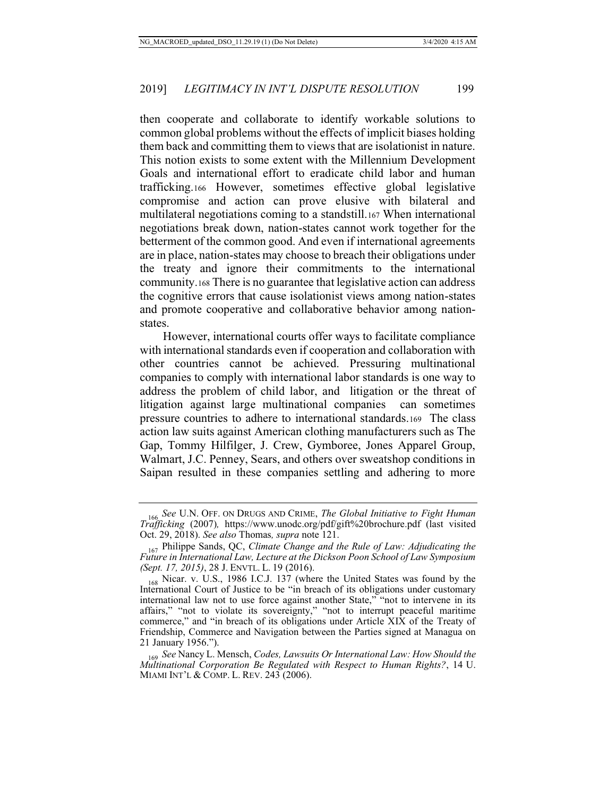then cooperate and collaborate to identify workable solutions to common global problems without the effects of implicit biases holding them back and committing them to views that are isolationist in nature. This notion exists to some extent with the Millennium Development Goals and international effort to eradicate child labor and human trafficking.166 However, sometimes effective global legislative compromise and action can prove elusive with bilateral and multilateral negotiations coming to a standstill.167 When international negotiations break down, nation-states cannot work together for the betterment of the common good. And even if international agreements are in place, nation-states may choose to breach their obligations under the treaty and ignore their commitments to the international community.168 There is no guarantee that legislative action can address the cognitive errors that cause isolationist views among nation-states and promote cooperative and collaborative behavior among nationstates.

However, international courts offer ways to facilitate compliance with international standards even if cooperation and collaboration with other countries cannot be achieved. Pressuring multinational companies to comply with international labor standards is one way to address the problem of child labor, and litigation or the threat of litigation against large multinational companies can sometimes pressure countries to adhere to international standards.169 The class action law suits against American clothing manufacturers such as The Gap, Tommy Hilfilger, J. Crew, Gymboree, Jones Apparel Group, Walmart, J.C. Penney, Sears, and others over sweatshop conditions in Saipan resulted in these companies settling and adhering to more

<sup>166</sup> *See* U.N. OFF. ON DRUGS AND CRIME, *The Global Initiative to Fight Human Trafficking* (2007)*,* https://www.unodc.org/pdf/gift%20brochure.pdf (last visited Oct. 29, 2018). *See also* Thomas*, supra* note 121.

<sup>&</sup>lt;sub>167</sub> Philippe Sands, QC, *Climate Change and the Rule of Law: Adjudicating the Future in International Law, Lecture at the Dickson Poon School of Law Symposium (Sept. 17, 2015)*, 28 J. ENVTL. L. 19 (2016).

<sup>168</sup> Nicar. v. U.S., 1986 I.C.J. 137 (where the United States was found by the International Court of Justice to be "in breach of its obligations under customary international law not to use force against another State," "not to intervene in its affairs," "not to violate its sovereignty," "not to interrupt peaceful maritime commerce," and "in breach of its obligations under Article XIX of the Treaty of Friendship, Commerce and Navigation between the Parties signed at Managua on 21 January 1956.").

<sup>169</sup> *See* Nancy L. Mensch, *Codes, Lawsuits Or International Law: How Should the Multinational Corporation Be Regulated with Respect to Human Rights?*, 14 U. MIAMI INT'L & COMP. L. REV. 243 (2006).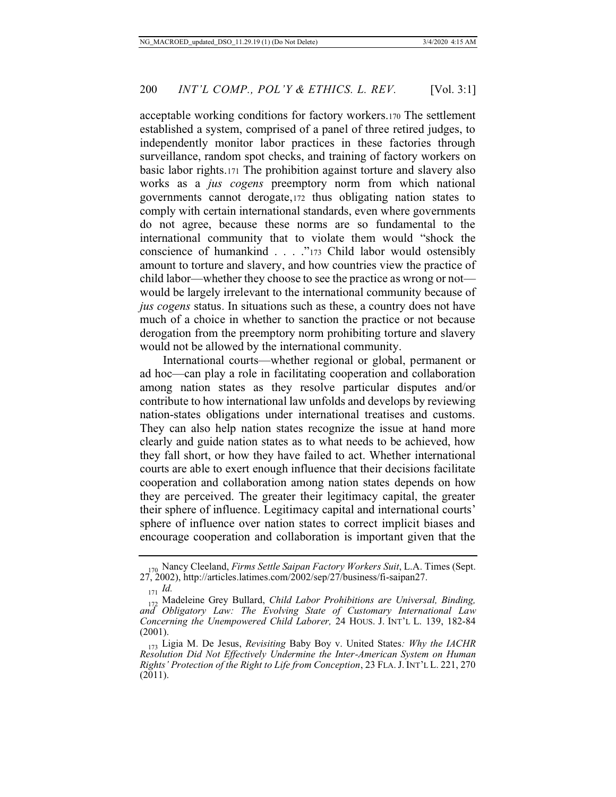acceptable working conditions for factory workers.170 The settlement established a system, comprised of a panel of three retired judges, to independently monitor labor practices in these factories through surveillance, random spot checks, and training of factory workers on basic labor rights.171 The prohibition against torture and slavery also works as a *jus cogens* preemptory norm from which national governments cannot derogate,172 thus obligating nation states to comply with certain international standards, even where governments do not agree, because these norms are so fundamental to the international community that to violate them would "shock the conscience of humankind . . . ."173 Child labor would ostensibly amount to torture and slavery, and how countries view the practice of child labor—whether they choose to see the practice as wrong or not would be largely irrelevant to the international community because of *jus cogens* status. In situations such as these, a country does not have much of a choice in whether to sanction the practice or not because derogation from the preemptory norm prohibiting torture and slavery would not be allowed by the international community.

International courts—whether regional or global, permanent or ad hoc—can play a role in facilitating cooperation and collaboration among nation states as they resolve particular disputes and/or contribute to how international law unfolds and develops by reviewing nation-states obligations under international treatises and customs. They can also help nation states recognize the issue at hand more clearly and guide nation states as to what needs to be achieved, how they fall short, or how they have failed to act. Whether international courts are able to exert enough influence that their decisions facilitate cooperation and collaboration among nation states depends on how they are perceived. The greater their legitimacy capital, the greater their sphere of influence. Legitimacy capital and international courts' sphere of influence over nation states to correct implicit biases and encourage cooperation and collaboration is important given that the

<sup>170</sup> Nancy Cleeland, *Firms Settle Saipan Factory Workers Suit*, L.A. Times (Sept. 27, 2002), http://articles.latimes.com/2002/sep/27/business/fi-saipan27.

<sup>171</sup> *Id.*

<sup>172</sup> Madeleine Grey Bullard, *Child Labor Prohibitions are Universal, Binding, and Obligatory Law: The Evolving State of Customary International Law Concerning the Unempowered Child Laborer,* 24 HOUS. J. INT'L L. 139, 182-84 (2001).

<sup>173</sup> Ligia M. De Jesus, *Revisiting* Baby Boy v. United States*: Why the IACHR Resolution Did Not Effectively Undermine the Inter-American System on Human Rights' Protection of the Right to Life from Conception*, 23 FLA.J. INT'L L. 221, 270 (2011).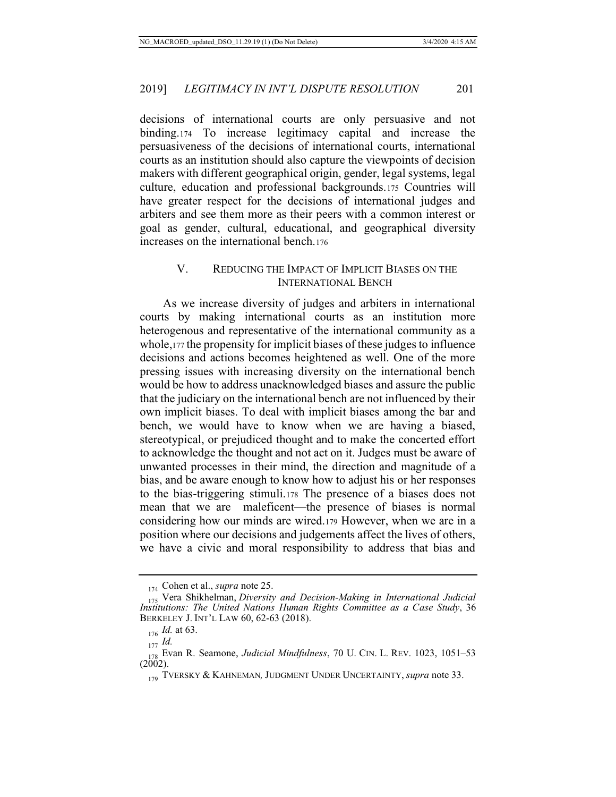decisions of international courts are only persuasive and not binding.174 To increase legitimacy capital and increase the persuasiveness of the decisions of international courts, international courts as an institution should also capture the viewpoints of decision makers with different geographical origin, gender, legal systems, legal culture, education and professional backgrounds.175 Countries will have greater respect for the decisions of international judges and arbiters and see them more as their peers with a common interest or goal as gender, cultural, educational, and geographical diversity increases on the international bench.176

## V. REDUCING THE IMPACT OF IMPLICIT BIASES ON THE INTERNATIONAL BENCH

As we increase diversity of judges and arbiters in international courts by making international courts as an institution more heterogenous and representative of the international community as a whole,177 the propensity for implicit biases of these judges to influence decisions and actions becomes heightened as well. One of the more pressing issues with increasing diversity on the international bench would be how to address unacknowledged biases and assure the public that the judiciary on the international bench are not influenced by their own implicit biases. To deal with implicit biases among the bar and bench, we would have to know when we are having a biased, stereotypical, or prejudiced thought and to make the concerted effort to acknowledge the thought and not act on it. Judges must be aware of unwanted processes in their mind, the direction and magnitude of a bias, and be aware enough to know how to adjust his or her responses to the bias-triggering stimuli.178 The presence of a biases does not mean that we are maleficent—the presence of biases is normal considering how our minds are wired.179 However, when we are in a position where our decisions and judgements affect the lives of others, we have a civic and moral responsibility to address that bias and

<sup>174</sup> Cohen et al., *supra* note 25.

<sup>175</sup> Vera Shikhelman, *Diversity and Decision-Making in International Judicial Institutions: The United Nations Human Rights Committee as a Case Study*, 36 BERKELEY J. INT'L LAW 60, 62-63 (2018).

<sup>176</sup> *Id.* at 63.

<sup>177</sup> *Id.*

<sup>178</sup> Evan R. Seamone, *Judicial Mindfulness*, 70 U. CIN. L. REV. 1023, 1051–53  $(2002)$ .

<sup>179</sup> TVERSKY & KAHNEMAN*,* JUDGMENT UNDER UNCERTAINTY, *supra* note 33.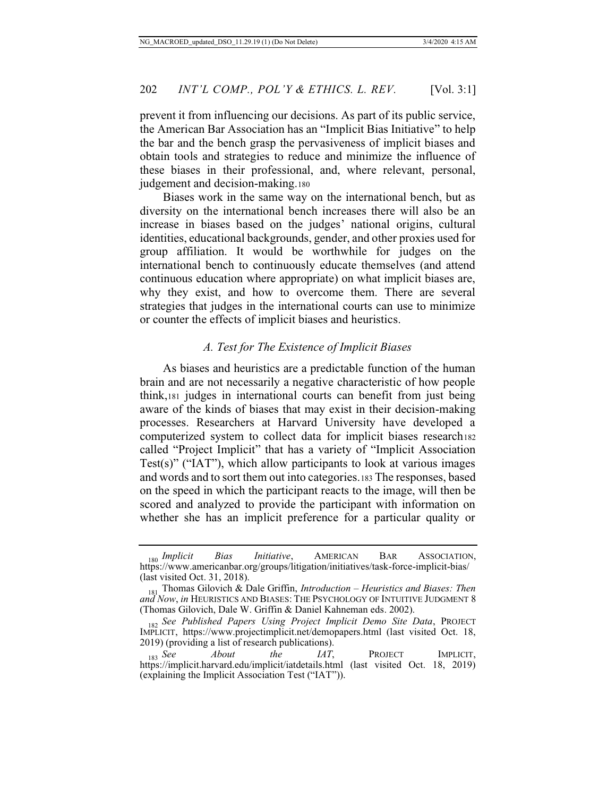prevent it from influencing our decisions. As part of its public service, the American Bar Association has an "Implicit Bias Initiative" to help the bar and the bench grasp the pervasiveness of implicit biases and obtain tools and strategies to reduce and minimize the influence of these biases in their professional, and, where relevant, personal, judgement and decision-making.180

Biases work in the same way on the international bench, but as diversity on the international bench increases there will also be an increase in biases based on the judges' national origins, cultural identities, educational backgrounds, gender, and other proxies used for group affiliation. It would be worthwhile for judges on the international bench to continuously educate themselves (and attend continuous education where appropriate) on what implicit biases are, why they exist, and how to overcome them. There are several strategies that judges in the international courts can use to minimize or counter the effects of implicit biases and heuristics.

#### *A. Test for The Existence of Implicit Biases*

As biases and heuristics are a predictable function of the human brain and are not necessarily a negative characteristic of how people think,181 judges in international courts can benefit from just being aware of the kinds of biases that may exist in their decision-making processes. Researchers at Harvard University have developed a computerized system to collect data for implicit biases research182 called "Project Implicit" that has a variety of "Implicit Association Test(s)" ("IAT"), which allow participants to look at various images and words and to sort them out into categories.183 The responses, based on the speed in which the participant reacts to the image, will then be scored and analyzed to provide the participant with information on whether she has an implicit preference for a particular quality or

<sup>180</sup> *Implicit Bias Initiative*, AMERICAN BAR ASSOCIATION, https://www.americanbar.org/groups/litigation/initiatives/task-force-implicit-bias/ (last visited Oct. 31, 2018).

<sup>181</sup> Thomas Gilovich & Dale Griffin, *Introduction – Heuristics and Biases: Then and Now*, *in* HEURISTICS AND BIASES: THE PSYCHOLOGY OF INTUITIVE JUDGMENT 8 (Thomas Gilovich, Dale W. Griffin & Daniel Kahneman eds. 2002).

<sup>182</sup> *See Published Papers Using Project Implicit Demo Site Data*, PROJECT IMPLICIT, https://www.projectimplicit.net/demopapers.html (last visited Oct. 18,

<sup>2019) (</sup>providing a list of research publications).<br>  $\begin{array}{cc}\n 183 \text{} & \text{See} \\
183 & \text{See}\n \end{array}$ <sup>183</sup> *See About the IAT*, PROJECT IMPLICIT, https://implicit.harvard.edu/implicit/iatdetails.html (last visited Oct. 18, 2019) (explaining the Implicit Association Test ("IAT")).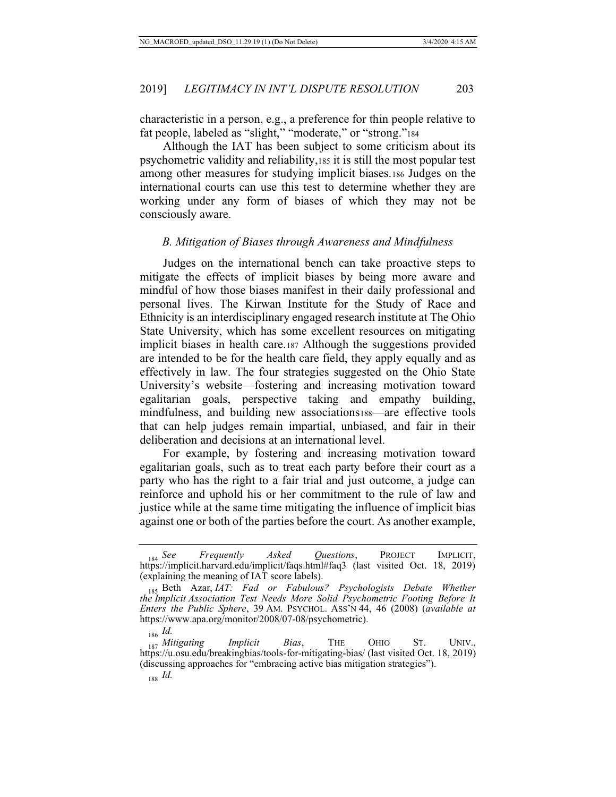characteristic in a person, e.g., a preference for thin people relative to fat people, labeled as "slight," "moderate," or "strong."<sup>184</sup>

Although the IAT has been subject to some criticism about its psychometric validity and reliability,185 it is still the most popular test among other measures for studying implicit biases.186 Judges on the international courts can use this test to determine whether they are working under any form of biases of which they may not be consciously aware.

### *B. Mitigation of Biases through Awareness and Mindfulness*

Judges on the international bench can take proactive steps to mitigate the effects of implicit biases by being more aware and mindful of how those biases manifest in their daily professional and personal lives. The Kirwan Institute for the Study of Race and Ethnicity is an interdisciplinary engaged research institute at The Ohio State University, which has some excellent resources on mitigating implicit biases in health care.187 Although the suggestions provided are intended to be for the health care field, they apply equally and as effectively in law. The four strategies suggested on the Ohio State University's website—fostering and increasing motivation toward egalitarian goals, perspective taking and empathy building, mindfulness, and building new associations188—are effective tools that can help judges remain impartial, unbiased, and fair in their deliberation and decisions at an international level.

For example, by fostering and increasing motivation toward egalitarian goals, such as to treat each party before their court as a party who has the right to a fair trial and just outcome, a judge can reinforce and uphold his or her commitment to the rule of law and justice while at the same time mitigating the influence of implicit bias against one or both of the parties before the court. As another example,

<sup>184</sup> *See Frequently Asked Questions*, PROJECT IMPLICIT, https://implicit.harvard.edu/implicit/faqs.html#faq3 (last visited Oct. 18, 2019) (explaining the meaning of IAT score labels).

<sup>185</sup> Beth Azar, *IAT: Fad or Fabulous? Psychologists Debate Whether the Implicit Association Test Needs More Solid Psychometric Footing Before It Enters the Public Sphere*, 39 AM. PSYCHOL. ASS'N 44, 46 (2008) (*available at* https://www.apa.org/monitor/2008/07-08/psychometric).

<sup>186</sup> *Id.* <sup>187</sup> *Mitigating Implicit Bias*, THE OHIO ST. UNIV., https://u.osu.edu/breakingbias/tools-for-mitigating-bias/ (last visited Oct. 18, 2019) (discussing approaches for "embracing active bias mitigation strategies").

<sup>188</sup> *Id.*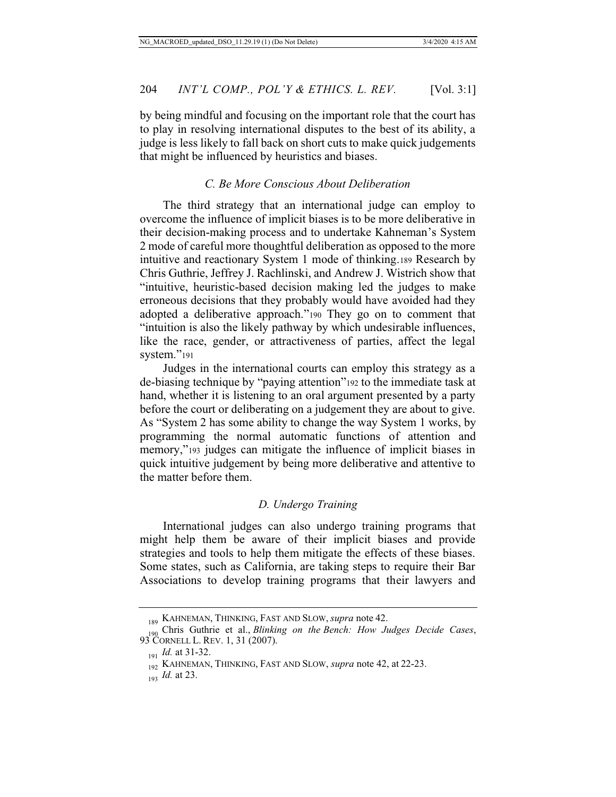by being mindful and focusing on the important role that the court has to play in resolving international disputes to the best of its ability, a judge is less likely to fall back on short cuts to make quick judgements that might be influenced by heuristics and biases.

## *C. Be More Conscious About Deliberation*

The third strategy that an international judge can employ to overcome the influence of implicit biases is to be more deliberative in their decision-making process and to undertake Kahneman's System 2 mode of careful more thoughtful deliberation as opposed to the more intuitive and reactionary System 1 mode of thinking.189 Research by Chris Guthrie, Jeffrey J. Rachlinski, and Andrew J. Wistrich show that "intuitive, heuristic-based decision making led the judges to make erroneous decisions that they probably would have avoided had they adopted a deliberative approach."190 They go on to comment that "intuition is also the likely pathway by which undesirable influences, like the race, gender, or attractiveness of parties, affect the legal system."191

Judges in the international courts can employ this strategy as a de-biasing technique by "paying attention"192 to the immediate task at hand, whether it is listening to an oral argument presented by a party before the court or deliberating on a judgement they are about to give. As "System 2 has some ability to change the way System 1 works, by programming the normal automatic functions of attention and memory,"193 judges can mitigate the influence of implicit biases in quick intuitive judgement by being more deliberative and attentive to the matter before them.

#### *D. Undergo Training*

International judges can also undergo training programs that might help them be aware of their implicit biases and provide strategies and tools to help them mitigate the effects of these biases. Some states, such as California, are taking steps to require their Bar Associations to develop training programs that their lawyers and

<sup>189</sup> KAHNEMAN, THINKING, FAST AND SLOW, *supra* note 42.

<sup>190</sup> Chris Guthrie et al., *Blinking on the Bench: How Judges Decide Cases*, 93 CORNELL L. REV. 1, 31 (2007).

<sup>&</sup>lt;sub>191</sub> *Id.* at 31-32.

<sup>192</sup> KAHNEMAN, THINKING, FAST AND SLOW, *supra* note 42, at 22-23.

<sup>193</sup> *Id.* at 23.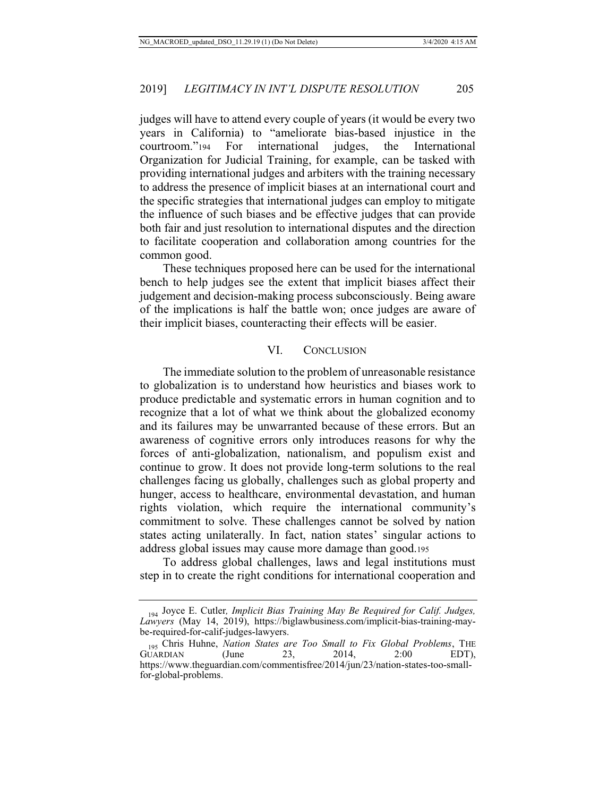judges will have to attend every couple of years (it would be every two years in California) to "ameliorate bias-based injustice in the courtroom."194 For international judges, the International Organization for Judicial Training, for example, can be tasked with providing international judges and arbiters with the training necessary to address the presence of implicit biases at an international court and the specific strategies that international judges can employ to mitigate the influence of such biases and be effective judges that can provide both fair and just resolution to international disputes and the direction to facilitate cooperation and collaboration among countries for the common good.

These techniques proposed here can be used for the international bench to help judges see the extent that implicit biases affect their judgement and decision-making process subconsciously. Being aware of the implications is half the battle won; once judges are aware of their implicit biases, counteracting their effects will be easier.

#### VI. CONCLUSION

The immediate solution to the problem of unreasonable resistance to globalization is to understand how heuristics and biases work to produce predictable and systematic errors in human cognition and to recognize that a lot of what we think about the globalized economy and its failures may be unwarranted because of these errors. But an awareness of cognitive errors only introduces reasons for why the forces of anti-globalization, nationalism, and populism exist and continue to grow. It does not provide long-term solutions to the real challenges facing us globally, challenges such as global property and hunger, access to healthcare, environmental devastation, and human rights violation, which require the international community's commitment to solve. These challenges cannot be solved by nation states acting unilaterally. In fact, nation states' singular actions to address global issues may cause more damage than good.195

To address global challenges, laws and legal institutions must step in to create the right conditions for international cooperation and

<sup>194</sup> Joyce E. Cutler*, Implicit Bias Training May Be Required for Calif. Judges, Lawyers* (May 14, 2019), https://biglawbusiness.com/implicit-bias-training-maybe-required-for-calif-judges-lawyers.

<sup>195</sup> Chris Huhne, *Nation States are Too Small to Fix Global Problems*, THE GUARDIAN https://www.theguardian.com/commentisfree/2014/jun/23/nation-states-too-smallfor-global-problems.